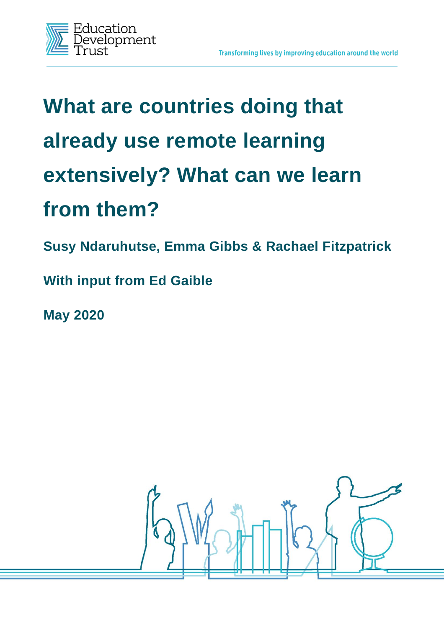

# **What are countries doing that already use remote learning extensively? What can we learn from them?**

**Susy Ndaruhutse, Emma Gibbs & Rachael Fitzpatrick**

**With input from Ed Gaible**

**May 2020**

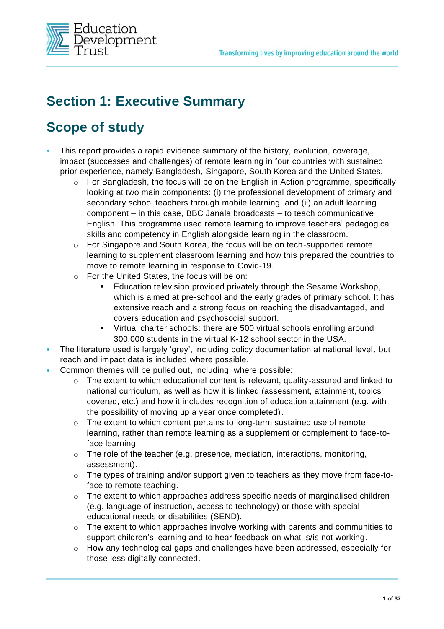

# **Section 1: Executive Summary**

# **Scope of study**

- **•** This report provides a rapid evidence summary of the history, evolution, coverage, impact (successes and challenges) of remote learning in four countries with sustained prior experience, namely Bangladesh, Singapore, South Korea and the United States.
	- $\circ$  For Bangladesh, the focus will be on the English in Action programme, specifically looking at two main components: (i) the professional development of primary and secondary school teachers through mobile learning; and (ii) an adult learning component – in this case, BBC Janala broadcasts – to teach communicative English. This programme used remote learning to improve teachers' pedagogical skills and competency in English alongside learning in the classroom.
	- $\circ$  For Singapore and South Korea, the focus will be on tech-supported remote learning to supplement classroom learning and how this prepared the countries to move to remote learning in response to Covid-19.
	- o For the United States, the focus will be on:
		- Education television provided privately through the Sesame Workshop, which is aimed at pre-school and the early grades of primary school. It has extensive reach and a strong focus on reaching the disadvantaged, and covers education and psychosocial support.
		- Virtual charter schools: there are 500 virtual schools enrolling around 300,000 students in the virtual K-12 school sector in the USA.
- **•** The literature used is largely 'grey', including policy documentation at national level, but reach and impact data is included where possible.
- **•** Common themes will be pulled out, including, where possible:
	- $\circ$  The extent to which educational content is relevant, quality-assured and linked to national curriculum, as well as how it is linked (assessment, attainment, topics covered, etc.) and how it includes recognition of education attainment (e.g. with the possibility of moving up a year once completed).
	- $\circ$  The extent to which content pertains to long-term sustained use of remote learning, rather than remote learning as a supplement or complement to face-toface learning.
	- $\circ$  The role of the teacher (e.g. presence, mediation, interactions, monitoring, assessment).
	- o The types of training and/or support given to teachers as they move from face-toface to remote teaching.
	- $\circ$  The extent to which approaches address specific needs of marginalised children (e.g. language of instruction, access to technology) or those with special educational needs or disabilities (SEND).
	- $\circ$  The extent to which approaches involve working with parents and communities to support children's learning and to hear feedback on what is/is not working.
	- o How any technological gaps and challenges have been addressed, especially for those less digitally connected.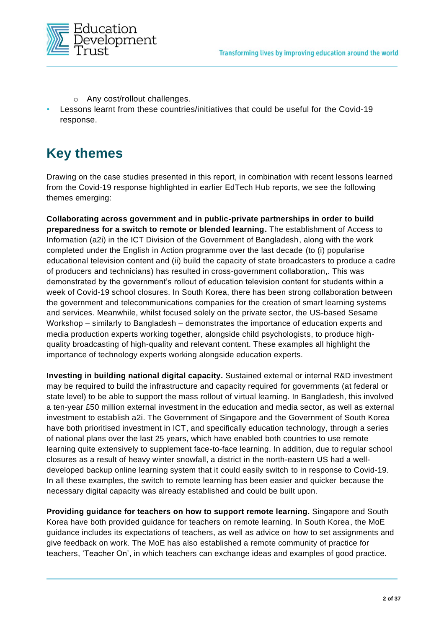

- o Any cost/rollout challenges.
- **•** Lessons learnt from these countries/initiatives that could be useful for the Covid-19 response.

### **Key themes**

Drawing on the case studies presented in this report, in combination with recent lessons learned from the Covid-19 response highlighted in earlier EdTech Hub reports, we see the following themes emerging:

**Collaborating across government and in public-private partnerships in order to build preparedness for a switch to remote or blended learning.** The establishment of Access to Information (a2i) in the ICT Division of the Government of Bangladesh, along with the work completed under the English in Action programme over the last decade (to (i) popularise educational television content and (ii) build the capacity of state broadcasters to produce a cadre of producers and technicians) has resulted in cross-government collaboration,. This was demonstrated by the government's rollout of education television content for students within a week of Covid-19 school closures. In South Korea, there has been strong collaboration between the government and telecommunications companies for the creation of smart learning systems and services. Meanwhile, whilst focused solely on the private sector, the US-based Sesame Workshop – similarly to Bangladesh – demonstrates the importance of education experts and media production experts working together, alongside child psychologists, to produce highquality broadcasting of high-quality and relevant content. These examples all highlight the importance of technology experts working alongside education experts.

**Investing in building national digital capacity.** Sustained external or internal R&D investment may be required to build the infrastructure and capacity required for governments (at federal or state level) to be able to support the mass rollout of virtual learning. In Bangladesh, this involved a ten-year £50 million external investment in the education and media sector, as well as external investment to establish a2i. The Government of Singapore and the Government of South Korea have both prioritised investment in ICT, and specifically education technology, through a series of national plans over the last 25 years, which have enabled both countries to use remote learning quite extensively to supplement face-to-face learning. In addition, due to regular school closures as a result of heavy winter snowfall, a district in the north-eastern US had a welldeveloped backup online learning system that it could easily switch to in response to Covid-19. In all these examples, the switch to remote learning has been easier and quicker because the necessary digital capacity was already established and could be built upon.

**Providing guidance for teachers on how to support remote learning.** Singapore and South Korea have both provided guidance for teachers on remote learning. In South Korea, the MoE guidance includes its expectations of teachers, as well as advice on how to set assignments and give feedback on work. The MoE has also established a remote community of practice for teachers, 'Teacher On', in which teachers can exchange ideas and examples of good practice.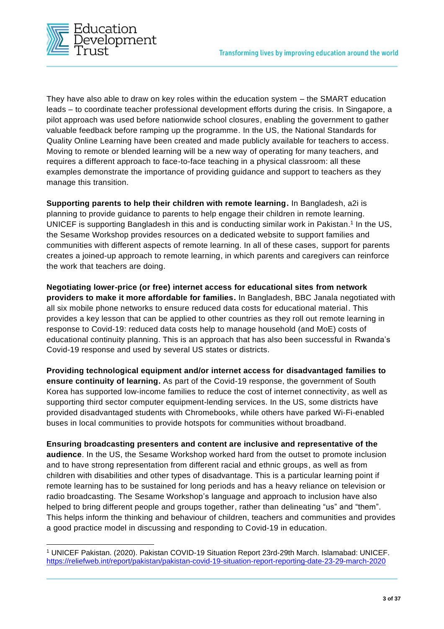

They have also able to draw on key roles within the education system – the SMART education leads – to coordinate teacher professional development efforts during the crisis. In Singapore, a pilot approach was used before nationwide school closures, enabling the government to gather valuable feedback before ramping up the programme. In the US, the National Standards for Quality Online Learning have been created and made publicly available for teachers to access. Moving to remote or blended learning will be a new way of operating for many teachers, and requires a different approach to face-to-face teaching in a physical classroom: all these examples demonstrate the importance of providing guidance and support to teachers as they manage this transition.

**Supporting parents to help their children with remote learning.** In Bangladesh, a2i is planning to provide guidance to parents to help engage their children in remote learning. UNICEF is supporting Bangladesh in this and is conducting similar work in Pakistan.<sup>1</sup> In the US, the Sesame Workshop provides resources on a dedicated website to support families and communities with different aspects of remote learning. In all of these cases, support for parents creates a joined-up approach to remote learning, in which parents and caregivers can reinforce the work that teachers are doing.

**Negotiating lower-price (or free) internet access for educational sites from network providers to make it more affordable for families.** In Bangladesh, BBC Janala negotiated with all six mobile phone networks to ensure reduced data costs for educational material. This provides a key lesson that can be applied to other countries as they roll out remote learning in response to Covid-19: reduced data costs help to manage household (and MoE) costs of educational continuity planning. This is an approach that has also been successful in Rwanda's Covid-19 response and used by several US states or districts.

**Providing technological equipment and/or internet access for disadvantaged families to ensure continuity of learning.** As part of the Covid-19 response, the government of South Korea has supported low-income families to reduce the cost of internet connectivity, as well as supporting third sector computer equipment-lending services. In the US, some districts have provided disadvantaged students with Chromebooks, while others have parked Wi-Fi-enabled buses in local communities to provide hotspots for communities without broadband.

**Ensuring broadcasting presenters and content are inclusive and representative of the audience**. In the US, the Sesame Workshop worked hard from the outset to promote inclusion and to have strong representation from different racial and ethnic groups, as well as from children with disabilities and other types of disadvantage. This is a particular learning point if remote learning has to be sustained for long periods and has a heavy reliance on television or radio broadcasting. The Sesame Workshop's language and approach to inclusion have also helped to bring different people and groups together, rather than delineating "us" and "them". This helps inform the thinking and behaviour of children, teachers and communities and provides a good practice model in discussing and responding to Covid-19 in education.

<sup>1</sup> UNICEF Pakistan. (2020). Pakistan COVID-19 Situation Report 23rd-29th March. Islamabad: UNICEF. <https://reliefweb.int/report/pakistan/pakistan-covid-19-situation-report-reporting-date-23-29-march-2020>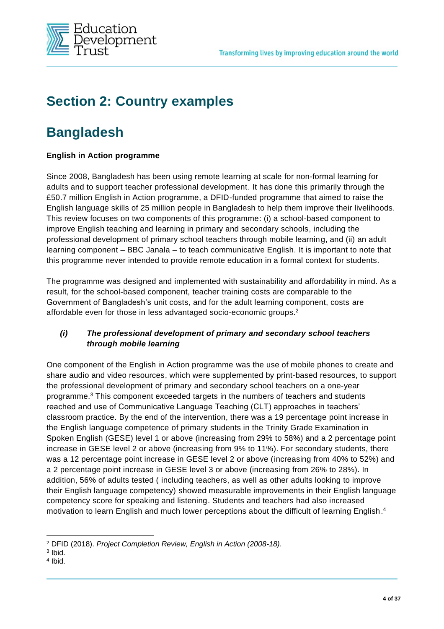

# **Section 2: Country examples**

### **Bangladesh**

#### **English in Action programme**

Since 2008, Bangladesh has been using remote learning at scale for non-formal learning for adults and to support teacher professional development. It has done this primarily through the £50.7 million English in Action programme, a DFID-funded programme that aimed to raise the English language skills of 25 million people in Bangladesh to help them improve their livelihoods. This review focuses on two components of this programme: (i) a school-based component to improve English teaching and learning in primary and secondary schools, including the professional development of primary school teachers through mobile learning, and (ii) an adult learning component – BBC Janala – to teach communicative English. It is important to note that this programme never intended to provide remote education in a formal context for students.

The programme was designed and implemented with sustainability and affordability in mind. As a result, for the school-based component, teacher training costs are comparable to the Government of Bangladesh's unit costs, and for the adult learning component, costs are affordable even for those in less advantaged socio-economic groups.<sup>2</sup>

#### *(i) The professional development of primary and secondary school teachers through mobile learning*

One component of the English in Action programme was the use of mobile phones to create and share audio and video resources, which were supplemented by print-based resources, to support the professional development of primary and secondary school teachers on a one-year programme. <sup>3</sup> This component exceeded targets in the numbers of teachers and students reached and use of Communicative Language Teaching (CLT) approaches in teachers' classroom practice. By the end of the intervention, there was a 19 percentage point increase in the English language competence of primary students in the Trinity Grade Examination in Spoken English (GESE) level 1 or above (increasing from 29% to 58%) and a 2 percentage point increase in GESE level 2 or above (increasing from 9% to 11%). For secondary students, there was a 12 percentage point increase in GESE level 2 or above (increasing from 40% to 52%) and a 2 percentage point increase in GESE level 3 or above (increasing from 26% to 28%). In addition, 56% of adults tested ( including teachers, as well as other adults looking to improve their English language competency) showed measurable improvements in their English language competency score for speaking and listening. Students and teachers had also increased motivation to learn English and much lower perceptions about the difficult of learning English.<sup>4</sup>

<sup>2</sup> DFID (2018). *Project Completion Review, English in Action (2008-18)*.

<sup>3</sup> Ibid.

<sup>4</sup> Ibid.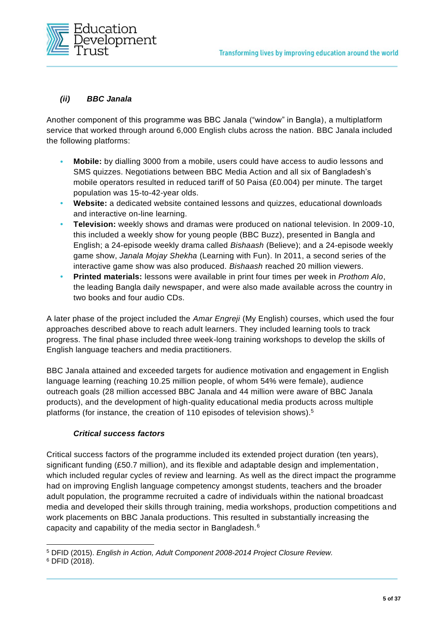

#### *(ii) BBC Janala*

Another component of this programme was BBC Janala ("window" in Bangla), a multiplatform service that worked through around 6,000 English clubs across the nation. BBC Janala included the following platforms:

- **• Mobile:** by dialling 3000 from a mobile, users could have access to audio lessons and SMS quizzes. Negotiations between BBC Media Action and all six of Bangladesh's mobile operators resulted in reduced tariff of 50 Paisa (£0.004) per minute. The target population was 15-to-42-year olds.
- **• Website:** a dedicated website contained lessons and quizzes, educational downloads and interactive on-line learning.
- **• Television:** weekly shows and dramas were produced on national television. In 2009-10, this included a weekly show for young people (BBC Buzz), presented in Bangla and English; a 24-episode weekly drama called *Bishaash* (Believe); and a 24-episode weekly game show, *Janala Mojay Shekha* (Learning with Fun). In 2011, a second series of the interactive game show was also produced. *Bishaash* reached 20 million viewers.
- **• Printed materials:** lessons were available in print four times per week in *Prothom Alo*, the leading Bangla daily newspaper, and were also made available across the country in two books and four audio CDs.

A later phase of the project included the *Amar Engreji* (My English) courses, which used the four approaches described above to reach adult learners. They included learning tools to track progress. The final phase included three week-long training workshops to develop the skills of English language teachers and media practitioners.

BBC Janala attained and exceeded targets for audience motivation and engagement in English language learning (reaching 10.25 million people, of whom 54% were female), audience outreach goals (28 million accessed BBC Janala and 44 million were aware of BBC Janala products), and the development of high-quality educational media products across multiple platforms (for instance, the creation of 110 episodes of television shows).<sup>5</sup>

#### *Critical success factors*

Critical success factors of the programme included its extended project duration (ten years), significant funding (£50.7 million), and its flexible and adaptable design and implementation, which included regular cycles of review and learning. As well as the direct impact the programme had on improving English language competency amongst students, teachers and the broader adult population, the programme recruited a cadre of individuals within the national broadcast media and developed their skills through training, media workshops, production competitions and work placements on BBC Janala productions. This resulted in substantially increasing the capacity and capability of the media sector in Bangladesh.<sup>6</sup>

<sup>5</sup> DFID (2015). *English in Action, Adult Component 2008-2014 Project Closure Review.*

<sup>6</sup> DFID (2018).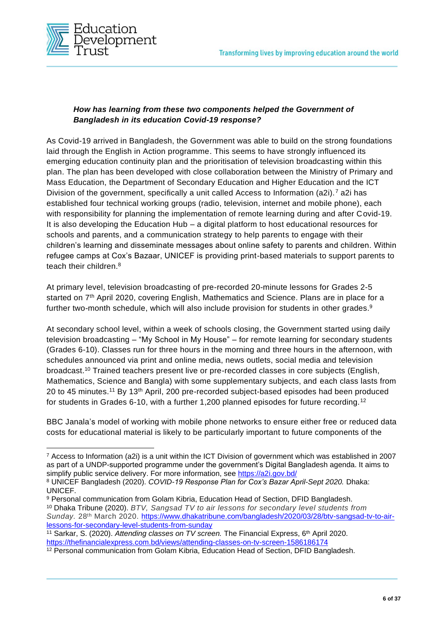

#### *How has learning from these two components helped the Government of Bangladesh in its education Covid-19 response?*

As Covid-19 arrived in Bangladesh, the Government was able to build on the strong foundations laid through the English in Action programme. This seems to have strongly influenced its emerging education continuity plan and the prioritisation of television broadcasting within this plan. The plan has been developed with close collaboration between the Ministry of Primary and Mass Education, the Department of Secondary Education and Higher Education and the ICT Division of the government, specifically a unit called Access to Information (a2i).<sup>7</sup> a2i has established four technical working groups (radio, television, internet and mobile phone), each with responsibility for planning the implementation of remote learning during and after Covid-19. It is also developing the Education Hub – a digital platform to host educational resources for schools and parents, and a communication strategy to help parents to engage with their children's learning and disseminate messages about online safety to parents and children. Within refugee camps at Cox's Bazaar, UNICEF is providing print-based materials to support parents to teach their children.<sup>8</sup>

At primary level, television broadcasting of pre-recorded 20-minute lessons for Grades 2-5 started on 7<sup>th</sup> April 2020, covering English, Mathematics and Science. Plans are in place for a further two-month schedule, which will also include provision for students in other grades.<sup>9</sup>

At secondary school level, within a week of schools closing, the Government started using daily television broadcasting – "My School in My House" – for remote learning for secondary students (Grades 6-10). Classes run for three hours in the morning and three hours in the afternoon, with schedules announced via print and online media, news outlets, social media and television broadcast.<sup>10</sup> Trained teachers present live or pre-recorded classes in core subjects (English, Mathematics, Science and Bangla) with some supplementary subjects, and each class lasts from 20 to 45 minutes.<sup>11</sup> By 13th April, 200 pre-recorded subject-based episodes had been produced for students in Grades 6-10, with a further 1,200 planned episodes for future recording.<sup>12</sup>

BBC Janala's model of working with mobile phone networks to ensure either free or reduced data costs for educational material is likely to be particularly important to future components of the

<sup>7</sup> Access to Information (a2i) is a unit within the ICT Division of government which was established in 2007 as part of a UNDP-supported programme under the government's Digital Bangladesh agenda. It aims to simplify public service delivery. For more information, see<https://a2i.gov.bd/>

<sup>8</sup> UNICEF Bangladesh (2020). *COVID-19 Response Plan for Cox's Bazar April-Sept 2020.* Dhaka: UNICEF.

<sup>9</sup> Personal communication from Golam Kibria, Education Head of Section, DFID Bangladesh. <sup>10</sup> Dhaka Tribune (2020). *BTV, Sangsad TV to air lessons for secondary level students from*  Sunday. 28<sup>th</sup> March 2020. [https://www.dhakatribune.com/bangladesh/2020/03/28/btv-sangsad-tv-to-air](https://www.dhakatribune.com/bangladesh/2020/03/28/btv-sangsad-tv-to-air-lessons-for-secondary-level-students-from-sunday)[lessons-for-secondary-level-students-from-sunday](https://www.dhakatribune.com/bangladesh/2020/03/28/btv-sangsad-tv-to-air-lessons-for-secondary-level-students-from-sunday)

<sup>11</sup> Sarkar, S. (2020). *Attending classes on TV screen.* The Financial Express, 6th April 2020. <https://thefinancialexpress.com.bd/views/attending-classes-on-tv-screen-1586186174>

<sup>&</sup>lt;sup>12</sup> Personal communication from Golam Kibria, Education Head of Section, DFID Bangladesh.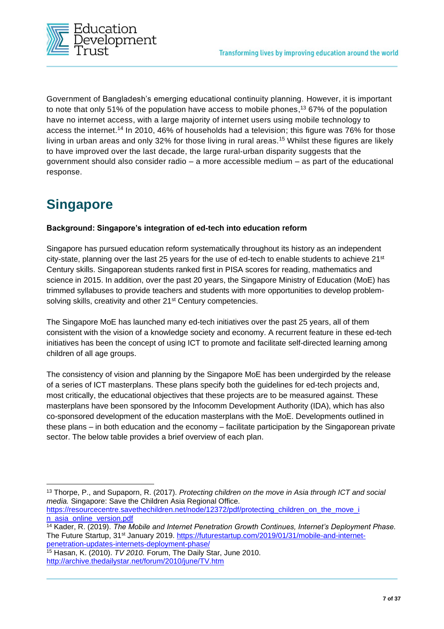

Government of Bangladesh's emerging educational continuity planning. However, it is important to note that only 51% of the population have access to mobile phones, <sup>13</sup> 67% of the population have no internet access, with a large majority of internet users using mobile technology to access the internet.<sup>14</sup> In 2010, 46% of households had a television; this figure was 76% for those living in urban areas and only 32% for those living in rural areas.<sup>15</sup> Whilst these figures are likely to have improved over the last decade, the large rural-urban disparity suggests that the government should also consider radio – a more accessible medium – as part of the educational response.

# **Singapore**

#### **Background: Singapore's integration of ed-tech into education reform**

Singapore has pursued education reform systematically throughout its history as an independent city-state, planning over the last 25 years for the use of ed-tech to enable students to achieve  $21^{st}$ Century skills. Singaporean students ranked first in PISA scores for reading, mathematics and science in 2015. In addition, over the past 20 years, the Singapore Ministry of Education (MoE) has trimmed syllabuses to provide teachers and students with more opportunities to develop problemsolving skills, creativity and other 21<sup>st</sup> Century competencies.

The Singapore MoE has launched many ed-tech initiatives over the past 25 years, all of them consistent with the vision of a knowledge society and economy. A recurrent feature in these ed-tech initiatives has been the concept of using ICT to promote and facilitate self-directed learning among children of all age groups.

The consistency of vision and planning by the Singapore MoE has been undergirded by the release of a series of ICT masterplans. These plans specify both the guidelines for ed-tech projects and, most critically, the educational objectives that these projects are to be measured against. These masterplans have been sponsored by the Infocomm Development Authority (IDA), which has also co-sponsored development of the education masterplans with the MoE. Developments outlined in these plans – in both education and the economy – facilitate participation by the Singaporean private sector. The below table provides a brief overview of each plan.

<sup>13</sup> Thorpe, P., and Supaporn, R. (2017). *Protecting children on the move in Asia through ICT and social media.* Singapore: Save the Children Asia Regional Office.

https://resourcecentre.savethechildren.net/node/12372/pdf/protecting\_children\_on\_the\_move\_i [n\\_asia\\_online\\_version.pdf](https://resourcecentre.savethechildren.net/node/12372/pdf/protecting_children_on_the_move_i%20n_asia_online_version.pdf)

<sup>14</sup> Kader, R. (2019). *The Mobile and Internet Penetration Growth Continues, Internet's Deployment Phase.*  The Future Startup, 31<sup>st</sup> January 2019. [https://futurestartup.com/2019/01/31/mobile-and-internet](https://futurestartup.com/2019/01/31/mobile-and-internet-penetration-updates-internets-deployment-phase/)[penetration-updates-internets-deployment-phase/](https://futurestartup.com/2019/01/31/mobile-and-internet-penetration-updates-internets-deployment-phase/)

<sup>15</sup> Hasan, K. (2010). *TV 2010.* Forum, The Daily Star, June 2010. <http://archive.thedailystar.net/forum/2010/june/TV.htm>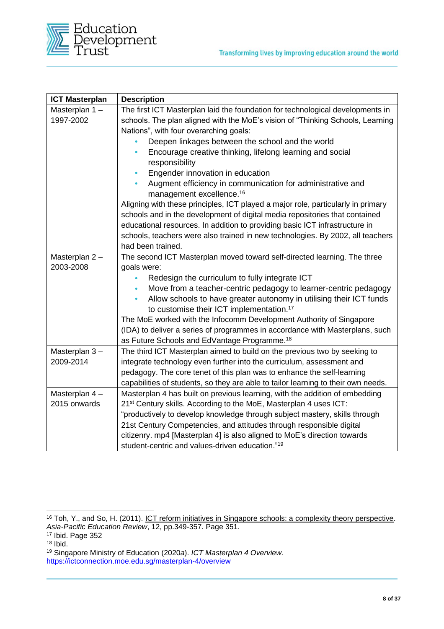

| <b>ICT Masterplan</b> | <b>Description</b>                                                                |
|-----------------------|-----------------------------------------------------------------------------------|
| Masterplan 1-         | The first ICT Masterplan laid the foundation for technological developments in    |
| 1997-2002             | schools. The plan aligned with the MoE's vision of "Thinking Schools, Learning    |
|                       | Nations", with four overarching goals:                                            |
|                       | Deepen linkages between the school and the world                                  |
|                       | Encourage creative thinking, lifelong learning and social                         |
|                       | responsibility                                                                    |
|                       | Engender innovation in education                                                  |
|                       | Augment efficiency in communication for administrative and                        |
|                       | management excellence. <sup>16</sup>                                              |
|                       | Aligning with these principles, ICT played a major role, particularly in primary  |
|                       | schools and in the development of digital media repositories that contained       |
|                       | educational resources. In addition to providing basic ICT infrastructure in       |
|                       | schools, teachers were also trained in new technologies. By 2002, all teachers    |
|                       | had been trained.                                                                 |
| Masterplan 2-         | The second ICT Masterplan moved toward self-directed learning. The three          |
| 2003-2008             | goals were:                                                                       |
|                       | Redesign the curriculum to fully integrate ICT                                    |
|                       | Move from a teacher-centric pedagogy to learner-centric pedagogy                  |
|                       | Allow schools to have greater autonomy in utilising their ICT funds<br>$\bullet$  |
|                       | to customise their ICT implementation. <sup>17</sup>                              |
|                       | The MoE worked with the Infocomm Development Authority of Singapore               |
|                       | (IDA) to deliver a series of programmes in accordance with Masterplans, such      |
|                       | as Future Schools and EdVantage Programme. <sup>18</sup>                          |
| Masterplan 3-         | The third ICT Masterplan aimed to build on the previous two by seeking to         |
| 2009-2014             | integrate technology even further into the curriculum, assessment and             |
|                       | pedagogy. The core tenet of this plan was to enhance the self-learning            |
|                       | capabilities of students, so they are able to tailor learning to their own needs. |
| Masterplan 4-         | Masterplan 4 has built on previous learning, with the addition of embedding       |
| 2015 onwards          | 21 <sup>st</sup> Century skills. According to the MoE, Masterplan 4 uses ICT:     |
|                       | "productively to develop knowledge through subject mastery, skills through        |
|                       | 21st Century Competencies, and attitudes through responsible digital              |
|                       | citizenry. mp4 [Masterplan 4] is also aligned to MoE's direction towards          |
|                       | student-centric and values-driven education." <sup>19</sup>                       |

<sup>16</sup> Toh, Y., and So, H. (2011). ICT reform initiatives in Singapore schools: a complexity theory perspective. *Asia-Pacific Education Review*, 12, pp.349-357. Page 351. <sup>17</sup> Ibid. Page 352

 $18$  Ibid.

<sup>19</sup> Singapore Ministry of Education (2020*a*). *ICT Masterplan 4 Overview.* <https://ictconnection.moe.edu.sg/masterplan-4/overview>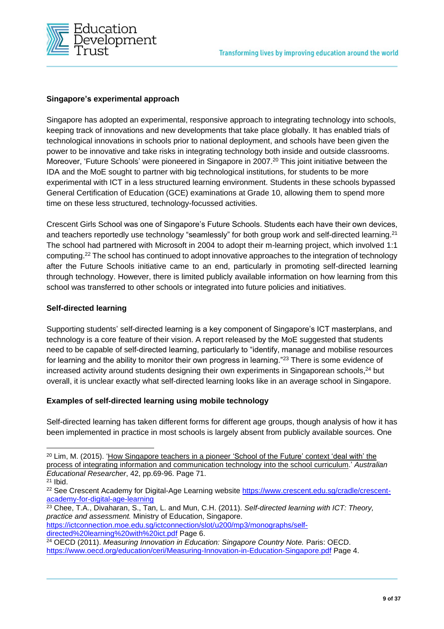

#### **Singapore's experimental approach**

Singapore has adopted an experimental, responsive approach to integrating technology into schools, keeping track of innovations and new developments that take place globally. It has enabled trials of technological innovations in schools prior to national deployment, and schools have been given the power to be innovative and take risks in integrating technology both inside and outside classrooms. Moreover, 'Future Schools' were pioneered in Singapore in 2007.<sup>20</sup> This joint initiative between the IDA and the MoE sought to partner with big technological institutions, for students to be more experimental with ICT in a less structured learning environment. Students in these schools bypassed General Certification of Education (GCE) examinations at Grade 10, allowing them to spend more time on these less structured, technology-focussed activities.

Crescent Girls School was one of Singapore's Future Schools. Students each have their own devices, and teachers reportedly use technology "seamlessly" for both group work and self-directed learning.<sup>21</sup> The school had partnered with Microsoft in 2004 to adopt their m-learning project, which involved 1:1 computing.<sup>22</sup> The school has continued to adopt innovative approaches to the integration of technology after the Future Schools initiative came to an end, particularly in promoting self-directed learning through technology. However, there is limited publicly available information on how learning from this school was transferred to other schools or integrated into future policies and initiatives.

#### **Self-directed learning**

Supporting students' self-directed learning is a key component of Singapore's ICT masterplans, and technology is a core feature of their vision. A report released by the MoE suggested that students need to be capable of self-directed learning, particularly to "identify, manage and mobilise resources for learning and the ability to monitor their own progress in learning."<sup>23</sup> There is some evidence of increased activity around students designing their own experiments in Singaporean schools, <sup>24</sup> but overall, it is unclear exactly what self-directed learning looks like in an average school in Singapore.

#### **Examples of self-directed learning using mobile technology**

Self-directed learning has taken different forms for different age groups, though analysis of how it has been implemented in practice in most schools is largely absent from publicly available sources. One

[https://ictconnection.moe.edu.sg/ictconnection/slot/u200/mp3/monographs/self](https://ictconnection.moe.edu.sg/ictconnection/slot/u200/mp3/monographs/self-directed%20learning%20with%20ict.pdf)[directed%20learning%20with%20ict.pdf](https://ictconnection.moe.edu.sg/ictconnection/slot/u200/mp3/monographs/self-directed%20learning%20with%20ict.pdf) Page 6.

<sup>&</sup>lt;sup>20</sup> Lim, M. (2015). 'How Singapore teachers in a pioneer 'School of the Future' context 'deal with' the process of integrating information and communication technology into the school curriculum.' *Australian Educational Researcher*, 42, pp.69-96. Page 71.

<sup>21</sup> Ibid.

<sup>&</sup>lt;sup>22</sup> See Crescent Academy for Digital-Age Learning website [https://www.crescent.edu.sg/cradle/crescent](https://www.crescent.edu.sg/cradle/crescent-academy-for-digital-age-learning)[academy-for-digital-age-learning](https://www.crescent.edu.sg/cradle/crescent-academy-for-digital-age-learning)

<sup>23</sup> Chee, T.A., Divaharan, S., Tan, L. and Mun, C.H. (2011). *Self-directed learning with ICT: Theory, practice and assessment.* Ministry of Education, Singapore.

<sup>24</sup> OECD (2011). *Measuring Innovation in Education: Singapore Country Note.* Paris: OECD. <https://www.oecd.org/education/ceri/Measuring-Innovation-in-Education-Singapore.pdf> Page 4.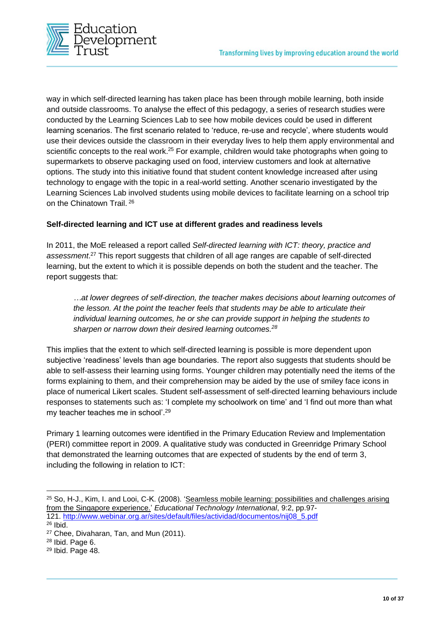

way in which self-directed learning has taken place has been through mobile learning, both inside and outside classrooms. To analyse the effect of this pedagogy, a series of research studies were conducted by the Learning Sciences Lab to see how mobile devices could be used in different learning scenarios. The first scenario related to 'reduce, re-use and recycle', where students would use their devices outside the classroom in their everyday lives to help them apply environmental and scientific concepts to the real work.<sup>25</sup> For example, children would take photographs when going to supermarkets to observe packaging used on food, interview customers and look at alternative options. The study into this initiative found that student content knowledge increased after using technology to engage with the topic in a real-world setting. Another scenario investigated by the Learning Sciences Lab involved students using mobile devices to facilitate learning on a school trip on the Chinatown Trail. <sup>26</sup>

#### **Self-directed learning and ICT use at different grades and readiness levels**

In 2011, the MoE released a report called *Self-directed learning with ICT: theory, practice and assessment*. <sup>27</sup> This report suggests that children of all age ranges are capable of self-directed learning, but the extent to which it is possible depends on both the student and the teacher. The report suggests that:

*…at lower degrees of self-direction, the teacher makes decisions about learning outcomes of the lesson. At the point the teacher feels that students may be able to articulate their individual learning outcomes, he or she can provide support in helping the students to sharpen or narrow down their desired learning outcomes.<sup>28</sup>*

This implies that the extent to which self-directed learning is possible is more dependent upon subjective 'readiness' levels than age boundaries. The report also suggests that students should be able to self-assess their learning using forms. Younger children may potentially need the items of the forms explaining to them, and their comprehension may be aided by the use of smiley face icons in place of numerical Likert scales. Student self-assessment of self-directed learning behaviours include responses to statements such as: 'I complete my schoolwork on time' and 'I find out more than what my teacher teaches me in school'.<sup>29</sup>

Primary 1 learning outcomes were identified in the Primary Education Review and Implementation (PERI) committee report in 2009. A qualitative study was conducted in Greenridge Primary School that demonstrated the learning outcomes that are expected of students by the end of term 3, including the following in relation to ICT:

<sup>25</sup> So, H-J., Kim, I. and Looi, C-K. (2008). 'Seamless mobile learning: possibilities and challenges arising from the Singapore experience.' *Educational Technology International*, 9:2, pp.97- 121. [http://www.webinar.org.ar/sites/default/files/actividad/documentos/nij08\\_5.pdf](http://www.webinar.org.ar/sites/default/files/actividad/documentos/nij08_5.pdf)

<sup>26</sup> Ibid.

<sup>27</sup> Chee, Divaharan, Tan, and Mun (2011).

<sup>28</sup> Ibid. Page 6.

<sup>29</sup> Ibid. Page 48.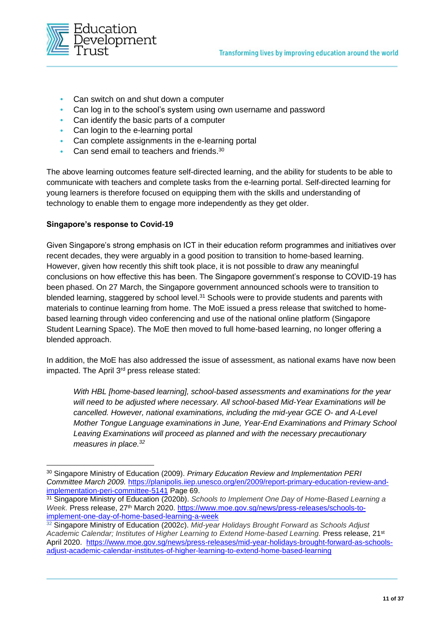

- **•** Can switch on and shut down a computer
- **•** Can log in to the school's system using own username and password
- **•** Can identify the basic parts of a computer
- **•** Can login to the e-learning portal
- **•** Can complete assignments in the e-learning portal
- **•** Can send email to teachers and friends. 30

The above learning outcomes feature self-directed learning, and the ability for students to be able to communicate with teachers and complete tasks from the e-learning portal. Self-directed learning for young learners is therefore focused on equipping them with the skills and understanding of technology to enable them to engage more independently as they get older.

#### **Singapore's response to Covid-19**

Given Singapore's strong emphasis on ICT in their education reform programmes and initiatives over recent decades, they were arguably in a good position to transition to home-based learning. However, given how recently this shift took place, it is not possible to draw any meaningful conclusions on how effective this has been. The Singapore government's response to COVID-19 has been phased. On 27 March, the Singapore government announced schools were to transition to blended learning, staggered by school level.<sup>31</sup> Schools were to provide students and parents with materials to continue learning from home. The MoE issued a press release that switched to homebased learning through video conferencing and use of the national online platform (Singapore Student Learning Space). The MoE then moved to full home-based learning, no longer offering a blended approach.

In addition, the MoE has also addressed the issue of assessment, as national exams have now been impacted. The April 3rd press release stated:

*With HBL [home-based learning], school-based assessments and examinations for the year will need to be adjusted where necessary. All school-based Mid-Year Examinations will be cancelled. However, national examinations, including the mid-year GCE O- and A-Level Mother Tongue Language examinations in June, Year-End Examinations and Primary School Leaving Examinations will proceed as planned and with the necessary precautionary measures in place. 32*

<sup>30</sup> Singapore Ministry of Education (2009). *Primary Education Review and Implementation PERI Committee March 2009.* [https://planipolis.iiep.unesco.org/en/2009/report-primary-education-review-and](https://planipolis.iiep.unesco.org/en/2009/report-primary-education-review-and-implementation-peri-committee-5141)[implementation-peri-committee-5141](https://planipolis.iiep.unesco.org/en/2009/report-primary-education-review-and-implementation-peri-committee-5141) Page 69.

<sup>31</sup> Singapore Ministry of Education (2020*b*). *Schools to Implement One Day of Home-Based Learning a*  Week. Press release, 27<sup>th</sup> March 2020. [https://www.moe.gov.sg/news/press-releases/schools-to](https://www.moe.gov.sg/news/press-releases/schools-to-implement-one-day-of-home-based-learning-a-week)[implement-one-day-of-home-based-learning-a-week](https://www.moe.gov.sg/news/press-releases/schools-to-implement-one-day-of-home-based-learning-a-week) 

<sup>32</sup> Singapore Ministry of Education (2002*c*). *Mid-year Holidays Brought Forward as Schools Adjust Academic Calendar; Institutes of Higher Learning to Extend Home-based Learning.* Press release, 21st April 2020. [https://www.moe.gov.sg/news/press-releases/mid-year-holidays-brought-forward-as-schools](https://www.moe.gov.sg/news/press-releases/mid-year-holidays-brought-forward-as-schools-adjust-academic-calendar-institutes-of-higher-learning-to-extend-home-based-learning)[adjust-academic-calendar-institutes-of-higher-learning-to-extend-home-based-learning](https://www.moe.gov.sg/news/press-releases/mid-year-holidays-brought-forward-as-schools-adjust-academic-calendar-institutes-of-higher-learning-to-extend-home-based-learning)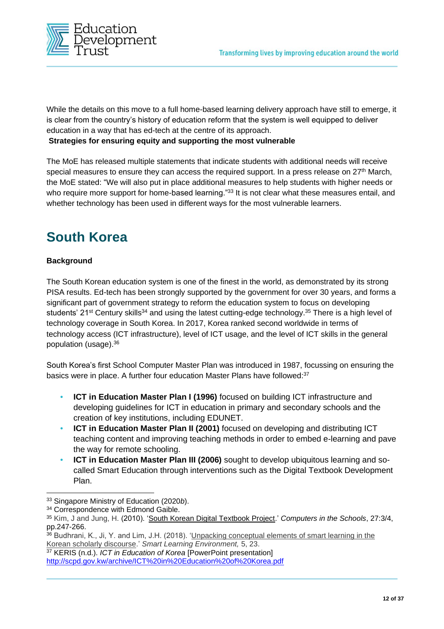

While the details on this move to a full home-based learning delivery approach have still to emerge, it is clear from the country's history of education reform that the system is well equipped to deliver education in a way that has ed-tech at the centre of its approach.

#### **Strategies for ensuring equity and supporting the most vulnerable**

The MoE has released multiple statements that indicate students with additional needs will receive special measures to ensure they can access the required support. In a press release on 27<sup>th</sup> March, the MoE stated: "We will also put in place additional measures to help students with higher needs or who require more support for home-based learning."33 It is not clear what these measures entail, and whether technology has been used in different ways for the most vulnerable learners.

### **South Korea**

#### **Background**

The South Korean education system is one of the finest in the world, as demonstrated by its strong PISA results. Ed-tech has been strongly supported by the government for over 30 years, and forms a significant part of government strategy to reform the education system to focus on developing students' 21<sup>st</sup> Century skills<sup>34</sup> and using the latest cutting-edge technology.<sup>35</sup> There is a high level of technology coverage in South Korea. In 2017, Korea ranked second worldwide in terms of technology access (ICT infrastructure), level of ICT usage, and the level of ICT skills in the general population (usage).<sup>36</sup>

South Korea's first School Computer Master Plan was introduced in 1987, focussing on ensuring the basics were in place. A further four education Master Plans have followed:<sup>37</sup>

- **• ICT in Education Master Plan I (1996)** focused on building ICT infrastructure and developing guidelines for ICT in education in primary and secondary schools and the creation of key institutions, including EDUNET.
- **ICT in Education Master Plan II (2001)** focused on developing and distributing ICT teaching content and improving teaching methods in order to embed e-learning and pave the way for remote schooling.
- **• ICT in Education Master Plan III (2006)** sought to develop ubiquitous learning and socalled Smart Education through interventions such as the Digital Textbook Development Plan.

<sup>37</sup> KERIS (n.d.). *ICT in Education of Korea* [PowerPoint presentation] <http://scpd.gov.kw/archive/ICT%20in%20Education%20of%20Korea.pdf>

<sup>33</sup> Singapore Ministry of Education (2020*b*).

<sup>&</sup>lt;sup>34</sup> Correspondence with Edmond Gaible.

<sup>35</sup> Kim, J and Jung, H. (2010). 'South Korean Digital Textbook Project.' *Computers in the Schools*, 27:3/4, pp.247-266.

<sup>36</sup> Budhrani, K., Ji, Y. and Lim, J.H. (2018). 'Unpacking conceptual elements of smart learning in the Korean scholarly discourse.' *Smart Learning Environment,* 5, 23.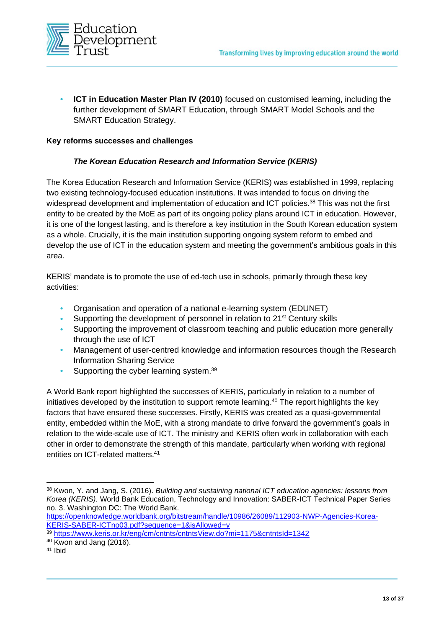

**ICT in Education Master Plan IV (2010)** focused on customised learning, including the further development of SMART Education, through SMART Model Schools and the SMART Education Strategy.

#### **Key reforms successes and challenges**

#### *The Korean Education Research and Information Service (KERIS)*

The Korea Education Research and Information Service (KERIS) was established in 1999, replacing two existing technology-focused education institutions. It was intended to focus on driving the widespread development and implementation of education and ICT policies.<sup>38</sup> This was not the first entity to be created by the MoE as part of its ongoing policy plans around ICT in education. However, it is one of the longest lasting, and is therefore a key institution in the South Korean education system as a whole. Crucially, it is the main institution supporting ongoing system reform to embed and develop the use of ICT in the education system and meeting the government's ambitious goals in this area.

KERIS' mandate is to promote the use of ed-tech use in schools, primarily through these key activities:

- **•** Organisation and operation of a national e-learning system (EDUNET)
- **•** Supporting the development of personnel in relation to 21st Century skills
- **•** Supporting the improvement of classroom teaching and public education more generally through the use of ICT
- **•** Management of user-centred knowledge and information resources though the Research Information Sharing Service
- Supporting the cyber learning system.<sup>39</sup>

A World Bank report highlighted the successes of KERIS, particularly in relation to a number of initiatives developed by the institution to support remote learning.<sup>40</sup> The report highlights the key factors that have ensured these successes. Firstly, KERIS was created as a quasi-governmental entity, embedded within the MoE, with a strong mandate to drive forward the government's goals in relation to the wide-scale use of ICT. The ministry and KERIS often work in collaboration with each other in order to demonstrate the strength of this mandate, particularly when working with regional entities on ICT-related matters. 41

<sup>38</sup> Kwon, Y. and Jang, S. (2016). *Building and sustaining national ICT education agencies: lessons from Korea (KERIS).* World Bank Education, Technology and Innovation: SABER-ICT Technical Paper Series no. 3. Washington DC: The World Bank.

[https://openknowledge.worldbank.org/bitstream/handle/10986/26089/112903-NWP-Agencies-Korea-](https://openknowledge.worldbank.org/bitstream/handle/10986/26089/112903-NWP-Agencies-Korea-KERIS-SABER-ICTno03.pdf?sequence=1&isAllowed=y)[KERIS-SABER-ICTno03.pdf?sequence=1&isAllowed=y](https://openknowledge.worldbank.org/bitstream/handle/10986/26089/112903-NWP-Agencies-Korea-KERIS-SABER-ICTno03.pdf?sequence=1&isAllowed=y)

<sup>39</sup> <https://www.keris.or.kr/eng/cm/cntnts/cntntsView.do?mi=1175&cntntsId=1342>

<sup>40</sup> Kwon and Jang (2016).

<sup>41</sup> Ibid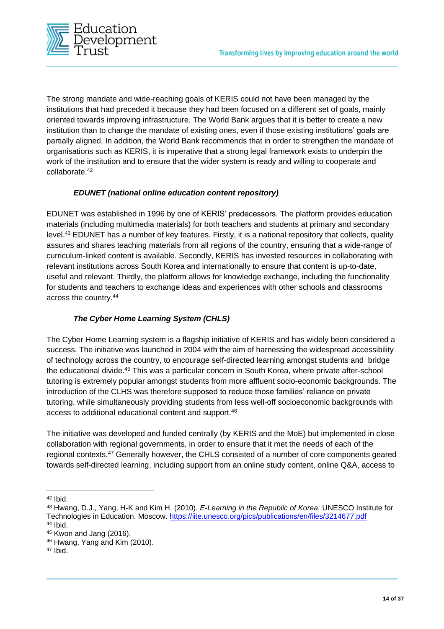

The strong mandate and wide-reaching goals of KERIS could not have been managed by the institutions that had preceded it because they had been focused on a different set of goals, mainly oriented towards improving infrastructure. The World Bank argues that it is better to create a new institution than to change the mandate of existing ones, even if those existing institutions' goals are partially aligned. In addition, the World Bank recommends that in order to strengthen the mandate of organisations such as KERIS, it is imperative that a strong legal framework exists to underpin the work of the institution and to ensure that the wider system is ready and willing to cooperate and collaborate. 42

#### *EDUNET (national online education content repository)*

EDUNET was established in 1996 by one of KERIS' predecessors. The platform provides education materials (including multimedia materials) for both teachers and students at primary and secondary level. <sup>43</sup> EDUNET has a number of key features. Firstly, it is a national repository that collects, quality assures and shares teaching materials from all regions of the country, ensuring that a wide-range of curriculum-linked content is available. Secondly, KERIS has invested resources in collaborating with relevant institutions across South Korea and internationally to ensure that content is up-to-date, useful and relevant. Thirdly, the platform allows for knowledge exchange, including the functionality for students and teachers to exchange ideas and experiences with other schools and classrooms across the country.<sup>44</sup>

#### *The Cyber Home Learning System (CHLS)*

The Cyber Home Learning system is a flagship initiative of KERIS and has widely been considered a success. The initiative was launched in 2004 with the aim of harnessing the widespread accessibility of technology across the country, to encourage self-directed learning amongst students and bridge the educational divide.<sup>45</sup> This was a particular concern in South Korea, where private after-school tutoring is extremely popular amongst students from more affluent socio-economic backgrounds. The introduction of the CLHS was therefore supposed to reduce those families' reliance on private tutoring, while simultaneously providing students from less well-off socioeconomic backgrounds with access to additional educational content and support.<sup>46</sup>

The initiative was developed and funded centrally (by KERIS and the MoE) but implemented in close collaboration with regional governments, in order to ensure that it met the needs of each of the regional contexts.<sup>47</sup> Generally however, the CHLS consisted of a number of core components geared towards self-directed learning, including support from an online study content, online Q&A, access to

 $42$  Ibid.

<sup>43</sup> Hwang, D.J., Yang, H-K and Kim H. (2010). *E-Learning in the Republic of Korea.* UNESCO Institute for Technologies in Education. Moscow.<https://iite.unesco.org/pics/publications/en/files/3214677.pdf> <sup>44</sup> Ibid.

<sup>45</sup> Kwon and Jang (2016).

<sup>46</sup> Hwang, Yang and Kim (2010).

<sup>47</sup> Ibid.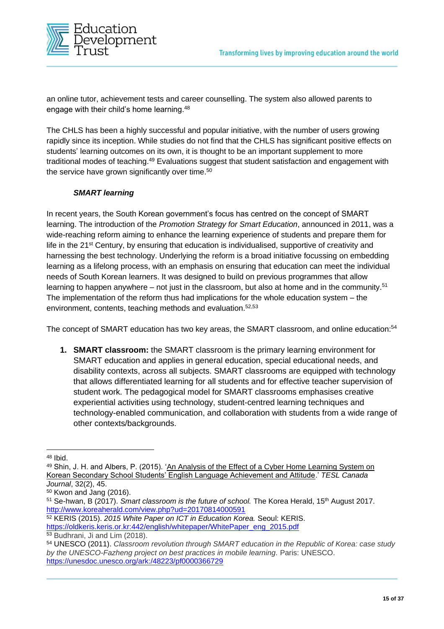

an online tutor, achievement tests and career counselling. The system also allowed parents to engage with their child's home learning.<sup>48</sup>

The CHLS has been a highly successful and popular initiative, with the number of users growing rapidly since its inception. While studies do not find that the CHLS has significant positive effects on students' learning outcomes on its own, it is thought to be an important supplement to more traditional modes of teaching.<sup>49</sup> Evaluations suggest that student satisfaction and engagement with the service have grown significantly over time. 50

#### *SMART learning*

In recent years, the South Korean government's focus has centred on the concept of SMART learning. The introduction of the *Promotion Strategy for Smart Education*, announced in 2011, was a wide-reaching reform aiming to enhance the learning experience of students and prepare them for life in the 21<sup>st</sup> Century, by ensuring that education is individualised, supportive of creativity and harnessing the best technology. Underlying the reform is a broad initiative focussing on embedding learning as a lifelong process, with an emphasis on ensuring that education can meet the individual needs of South Korean learners. It was designed to build on previous programmes that allow learning to happen anywhere – not just in the classroom, but also at home and in the community.<sup>51</sup> The implementation of the reform thus had implications for the whole education system – the environment, contents, teaching methods and evaluation.52,53

The concept of SMART education has two key areas, the SMART classroom, and online education:<sup>54</sup>

**1. SMART classroom:** the SMART classroom is the primary learning environment for SMART education and applies in general education, special educational needs, and disability contexts, across all subjects. SMART classrooms are equipped with technology that allows differentiated learning for all students and for effective teacher supervision of student work. The pedagogical model for SMART classrooms emphasises creative experiential activities using technology, student-centred learning techniques and technology-enabled communication, and collaboration with students from a wide range of other contexts/backgrounds.

<sup>52</sup> KERIS (2015). *2015 White Paper on ICT in Education Korea.* Seoul: KERIS. [https://oldkeris.keris.or.kr:442/english/whitepaper/WhitePaper\\_eng\\_2015.pdf](https://oldkeris.keris.or.kr:442/english/whitepaper/WhitePaper_eng_2015.pdf)

<sup>48</sup> Ibid.

<sup>49</sup> Shin, J. H. and Albers, P. (2015). 'An Analysis of the Effect of a Cyber Home Learning System on Korean Secondary School Students' English Language Achievement and Attitude.' *TESL Canada Journal*, 32(2), 45.

 $50$  Kwon and Jang (2016).

<sup>&</sup>lt;sup>51</sup> Se-hwan, B (2017). *Smart classroom is the future of school*. The Korea Herald, 15<sup>th</sup> August 2017. <http://www.koreaherald.com/view.php?ud=20170814000591>

<sup>53</sup> Budhrani, Ji and Lim (2018).

<sup>54</sup> UNESCO (2011). *Classroom revolution through SMART education in the Republic of Korea: case study by the UNESCO-Fazheng project on best practices in mobile learning.* Paris: UNESCO. <https://unesdoc.unesco.org/ark:/48223/pf0000366729>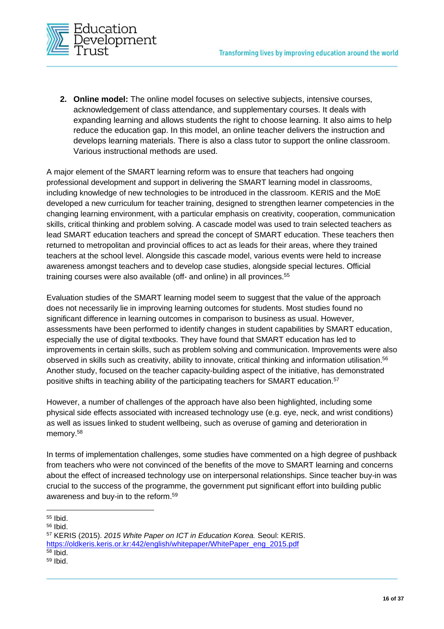

**2. Online model:** The online model focuses on selective subjects, intensive courses, acknowledgement of class attendance, and supplementary courses. It deals with expanding learning and allows students the right to choose learning. It also aims to help reduce the education gap. In this model, an online teacher delivers the instruction and develops learning materials. There is also a class tutor to support the online classroom. Various instructional methods are used.

A major element of the SMART learning reform was to ensure that teachers had ongoing professional development and support in delivering the SMART learning model in classrooms, including knowledge of new technologies to be introduced in the classroom. KERIS and the MoE developed a new curriculum for teacher training, designed to strengthen learner competencies in the changing learning environment, with a particular emphasis on creativity, cooperation, communication skills, critical thinking and problem solving. A cascade model was used to train selected teachers as lead SMART education teachers and spread the concept of SMART education. These teachers then returned to metropolitan and provincial offices to act as leads for their areas, where they trained teachers at the school level. Alongside this cascade model, various events were held to increase awareness amongst teachers and to develop case studies, alongside special lectures. Official training courses were also available (off- and online) in all provinces.<sup>55</sup>

Evaluation studies of the SMART learning model seem to suggest that the value of the approach does not necessarily lie in improving learning outcomes for students. Most studies found no significant difference in learning outcomes in comparison to business as usual. However, assessments have been performed to identify changes in student capabilities by SMART education, especially the use of digital textbooks. They have found that SMART education has led to improvements in certain skills, such as problem solving and communication. Improvements were also observed in skills such as creativity, ability to innovate, critical thinking and information utilisation.<sup>56</sup> Another study, focused on the teacher capacity-building aspect of the initiative, has demonstrated positive shifts in teaching ability of the participating teachers for SMART education.<sup>57</sup>

However, a number of challenges of the approach have also been highlighted, including some physical side effects associated with increased technology use (e.g. eye, neck, and wrist conditions) as well as issues linked to student wellbeing, such as overuse of gaming and deterioration in memory.<sup>58</sup>

In terms of implementation challenges, some studies have commented on a high degree of pushback from teachers who were not convinced of the benefits of the move to SMART learning and concerns about the effect of increased technology use on interpersonal relationships. Since teacher buy-in was crucial to the success of the programme, the government put significant effort into building public awareness and buy-in to the reform.<sup>59</sup>

<sup>55</sup> Ibid.

<sup>56</sup> Ibid.

<sup>57</sup> KERIS (2015). *2015 White Paper on ICT in Education Korea.* Seoul: KERIS. [https://oldkeris.keris.or.kr:442/english/whitepaper/WhitePaper\\_eng\\_2015.pdf](https://oldkeris.keris.or.kr:442/english/whitepaper/WhitePaper_eng_2015.pdf)

 $58$  Ibid.

<sup>59</sup> Ibid.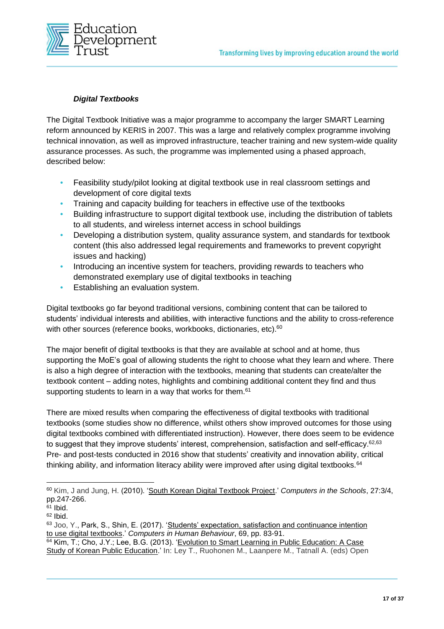

#### *Digital Textbooks*

The Digital Textbook Initiative was a major programme to accompany the larger SMART Learning reform announced by KERIS in 2007. This was a large and relatively complex programme involving technical innovation, as well as improved infrastructure, teacher training and new system-wide quality assurance processes. As such, the programme was implemented using a phased approach, described below:

- **•** Feasibility study/pilot looking at digital textbook use in real classroom settings and development of core digital texts
- **•** Training and capacity building for teachers in effective use of the textbooks
- **•** Building infrastructure to support digital textbook use, including the distribution of tablets to all students, and wireless internet access in school buildings
- **•** Developing a distribution system, quality assurance system, and standards for textbook content (this also addressed legal requirements and frameworks to prevent copyright issues and hacking)
- **•** Introducing an incentive system for teachers, providing rewards to teachers who demonstrated exemplary use of digital textbooks in teaching
- **•** Establishing an evaluation system.

Digital textbooks go far beyond traditional versions, combining content that can be tailored to students' individual interests and abilities, with interactive functions and the ability to cross-reference with other sources (reference books, workbooks, dictionaries, etc).<sup>60</sup>

The major benefit of digital textbooks is that they are available at school and at home, thus supporting the MoE's goal of allowing students the right to choose what they learn and where. There is also a high degree of interaction with the textbooks, meaning that students can create/alter the textbook content – adding notes, highlights and combining additional content they find and thus supporting students to learn in a way that works for them.<sup>61</sup>

There are mixed results when comparing the effectiveness of digital textbooks with traditional textbooks (some studies show no difference, whilst others show improved outcomes for those using digital textbooks combined with differentiated instruction). However, there does seem to be evidence to suggest that they improve students' interest, comprehension, satisfaction and self-efficacy.<sup>62,63</sup> Pre- and post-tests conducted in 2016 show that students' creativity and innovation ability, critical thinking ability, and information literacy ability were improved after using digital textbooks.<sup>64</sup>

<sup>60</sup> Kim, J and Jung, H. (2010). 'South Korean Digital Textbook Project.' *Computers in the Schools*, 27:3/4, pp.247-266.

 $61$  Ibid.

 $62$  Ibid.

<sup>63</sup> Joo, Y., Park, S., Shin, E. (2017). 'Students' expectation, satisfaction and continuance intention to use digital textbooks.' *Computers in Human Behaviour*, 69, pp. 83-91.

<sup>64</sup> Kim, T.; Cho, J.Y.; Lee, B.G. (2013). 'Evolution to Smart Learning in Public Education: A Case Study of Korean Public Education.' In: Ley T., Ruohonen M., Laanpere M., Tatnall A. (eds) Open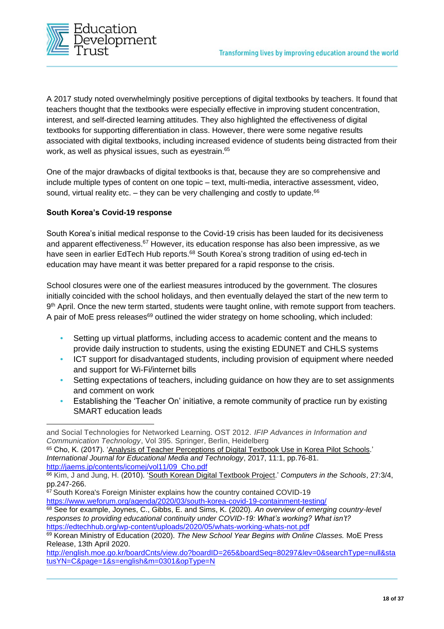

A 2017 study noted overwhelmingly positive perceptions of digital textbooks by teachers. It found that teachers thought that the textbooks were especially effective in improving student concentration, interest, and self-directed learning attitudes. They also highlighted the effectiveness of digital textbooks for supporting differentiation in class. However, there were some negative results associated with digital textbooks, including increased evidence of students being distracted from their work, as well as physical issues, such as eyestrain.<sup>65</sup>

One of the major drawbacks of digital textbooks is that, because they are so comprehensive and include multiple types of content on one topic – text, multi-media, interactive assessment, video, sound, virtual reality etc.  $-$  they can be very challenging and costly to update.<sup>66</sup>

#### **South Korea's Covid-19 response**

South Korea's initial medical response to the Covid-19 crisis has been lauded for its decisiveness and apparent effectiveness.<sup>67</sup> However, its education response has also been impressive, as we have seen in earlier EdTech Hub reports.<sup>68</sup> South Korea's strong tradition of using ed-tech in education may have meant it was better prepared for a rapid response to the crisis.

School closures were one of the earliest measures introduced by the government. The closures initially coincided with the school holidays, and then eventually delayed the start of the new term to 9<sup>th</sup> April. Once the new term started, students were taught online, with remote support from teachers. A pair of MoE press releases $69$  outlined the wider strategy on home schooling, which included:

- **•** Setting up virtual platforms, including access to academic content and the means to provide daily instruction to students, using the existing EDUNET and CHLS systems
- **•** ICT support for disadvantaged students, including provision of equipment where needed and support for Wi-Fi/internet bills
- **•** Setting expectations of teachers, including guidance on how they are to set assignments and comment on work
- **•** Establishing the 'Teacher On' initiative, a remote community of practice run by existing SMART education leads

<sup>65</sup> Cho, K. (2017). 'Analysis of Teacher Perceptions of Digital Textbook Use in Korea Pilot Schools.' *International Journal for Educational Media and Technology*, 2017, 11:1, pp.76-81. [http://jaems.jp/contents/icomej/vol11/09\\_Cho.pdf](http://jaems.jp/contents/icomej/vol11/09_Cho.pdf)

<sup>68</sup> See for example, Joynes, C., Gibbs, E. and Sims, K. (2020). *An overview of emerging country-level responses to providing educational continuity under COVID-19: What's working? What isn't?* <https://edtechhub.org/wp-content/uploads/2020/05/whats-working-whats-not.pdf>

and Social Technologies for Networked Learning. OST 2012. *IFIP Advances in Information and Communication Technology*, Vol 395. Springer, Berlin, Heidelberg

<sup>66</sup> Kim, J and Jung, H. (2010). 'South Korean Digital Textbook Project.' *Computers in the Schools*, 27:3/4, pp.247-266.

<sup>&</sup>lt;sup>67</sup> South Korea's Foreign Minister explains how the country contained COVID-19 <https://www.weforum.org/agenda/2020/03/south-korea-covid-19-containment-testing/>

<sup>69</sup> Korean Ministry of Education (2020). *The New School Year Begins with Online Classes.* MoE Press Release, 13th April 2020.

[http://english.moe.go.kr/boardCnts/view.do?boardID=265&boardSeq=80297&lev=0&searchType=null&sta](http://english.moe.go.kr/boardCnts/view.do?boardID=265&boardSeq=80297&lev=0&searchType=null&statusYN=C&page=1&s=english&m=0301&opType=N) [tusYN=C&page=1&s=english&m=0301&opType=N](http://english.moe.go.kr/boardCnts/view.do?boardID=265&boardSeq=80297&lev=0&searchType=null&statusYN=C&page=1&s=english&m=0301&opType=N)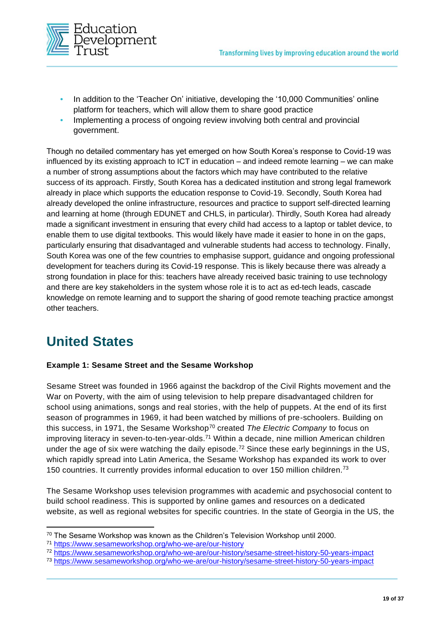

- **•** In addition to the 'Teacher On' initiative, developing the '10,000 Communities' online platform for teachers, which will allow them to share good practice
- **•** Implementing a process of ongoing review involving both central and provincial government.

Though no detailed commentary has yet emerged on how South Korea's response to Covid-19 was influenced by its existing approach to ICT in education – and indeed remote learning – we can make a number of strong assumptions about the factors which may have contributed to the relative success of its approach. Firstly, South Korea has a dedicated institution and strong legal framework already in place which supports the education response to Covid-19. Secondly, South Korea had already developed the online infrastructure, resources and practice to support self-directed learning and learning at home (through EDUNET and CHLS, in particular). Thirdly, South Korea had already made a significant investment in ensuring that every child had access to a laptop or tablet device, to enable them to use digital textbooks. This would likely have made it easier to hone in on the gaps, particularly ensuring that disadvantaged and vulnerable students had access to technology. Finally, South Korea was one of the few countries to emphasise support, guidance and ongoing professional development for teachers during its Covid-19 response. This is likely because there was already a strong foundation in place for this: teachers have already received basic training to use technology and there are key stakeholders in the system whose role it is to act as ed-tech leads, cascade knowledge on remote learning and to support the sharing of good remote teaching practice amongst other teachers.

### **United States**

#### **Example 1: Sesame Street and the Sesame Workshop**

Sesame Street was founded in 1966 against the backdrop of the Civil Rights movement and the War on Poverty, with the aim of using television to help prepare disadvantaged children for school using animations, songs and real stories, with the help of puppets. At the end of its first season of programmes in 1969, it had been watched by millions of pre-schoolers. Building on this success, in 1971, the Sesame Workshop<sup>70</sup> created *The Electric Company* to focus on improving literacy in seven-to-ten-year-olds.<sup>71</sup> Within a decade, nine million American children under the age of six were watching the daily episode.<sup>72</sup> Since these early beginnings in the US, which rapidly spread into Latin America, the Sesame Workshop has expanded its work to over 150 countries. It currently provides informal education to over 150 million children.<sup>73</sup>

The Sesame Workshop uses television programmes with academic and psychosocial content to build school readiness. This is supported by online games and resources on a dedicated website, as well as regional websites for specific countries. In the state of Georgia in the US, the

 $70$  The Sesame Workshop was known as the Children's Television Workshop until 2000.

<sup>71</sup> <https://www.sesameworkshop.org/who-we-are/our-history>

<sup>72</sup> <https://www.sesameworkshop.org/who-we-are/our-history/sesame-street-history-50-years-impact>

<sup>73</sup> <https://www.sesameworkshop.org/who-we-are/our-history/sesame-street-history-50-years-impact>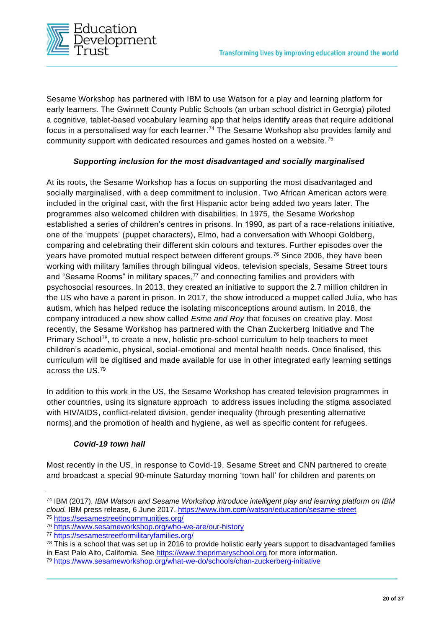

Sesame Workshop has partnered with IBM to use Watson for a play and learning platform for early learners. The Gwinnett County Public Schools (an urban school district in Georgia) piloted a cognitive, tablet-based vocabulary learning app that helps identify areas that require additional focus in a personalised way for each learner.<sup>74</sup> The Sesame Workshop also provides family and community support with dedicated resources and games hosted on a website.<sup>75</sup>

#### *Supporting inclusion for the most disadvantaged and socially marginalised*

At its roots, the Sesame Workshop has a focus on supporting the most disadvantaged and socially marginalised, with a deep commitment to inclusion. Two African American actors were included in the original cast, with the first Hispanic actor being added two years later. The programmes also welcomed children with disabilities. In 1975, the Sesame Workshop established a series of children's centres in prisons. In 1990, as part of a race-relations initiative, one of the 'muppets' (puppet characters), Elmo, had a conversation with Whoopi Goldberg, comparing and celebrating their different skin colours and textures. Further episodes over the years have promoted mutual respect between different groups.<sup>76</sup> Since 2006, they have been working with military families through bilingual videos, television specials, Sesame Street tours and "Sesame Rooms" in military spaces,<sup>77</sup> and connecting families and providers with psychosocial resources. In 2013, they created an initiative to support the 2.7 million children in the US who have a parent in prison. In 2017, the show introduced a muppet called Julia, who has autism, which has helped reduce the isolating misconceptions around autism. In 2018, the company introduced a new show called *Esme and Roy* that focuses on creative play. Most recently, the Sesame Workshop has partnered with the Chan Zuckerberg Initiative and The Primary School<sup>78</sup>, to create a new, holistic pre-school curriculum to help teachers to meet children's academic, physical, social-emotional and mental health needs. Once finalised, this curriculum will be digitised and made available for use in other integrated early learning settings across the US.<sup>79</sup>

In addition to this work in the US, the Sesame Workshop has created television programmes in other countries, using its signature approach to address issues including the stigma associated with HIV/AIDS, conflict-related division, gender inequality (through presenting alternative norms),and the promotion of health and hygiene, as well as specific content for refugees.

#### *Covid-19 town hall*

Most recently in the US, in response to Covid-19, Sesame Street and CNN partnered to create and broadcast a special 90-minute Saturday morning 'town hall' for children and parents on

<sup>74</sup> IBM (2017). *IBM Watson and Sesame Workshop introduce intelligent play and learning platform on IBM cloud.* IBM press release, 6 June 2017.<https://www.ibm.com/watson/education/sesame-street> <sup>75</sup> <https://sesamestreetincommunities.org/>

<sup>76</sup> <https://www.sesameworkshop.org/who-we-are/our-history>

<sup>77</sup> <https://sesamestreetformilitaryfamilies.org/>

 $78$  This is a school that was set up in 2016 to provide holistic early years support to disadvantaged families

in East Palo Alto, California. See [https://www.theprimaryschool.org](https://www.theprimaryschool.org/) for more information.

<sup>79</sup> <https://www.sesameworkshop.org/what-we-do/schools/chan-zuckerberg-initiative>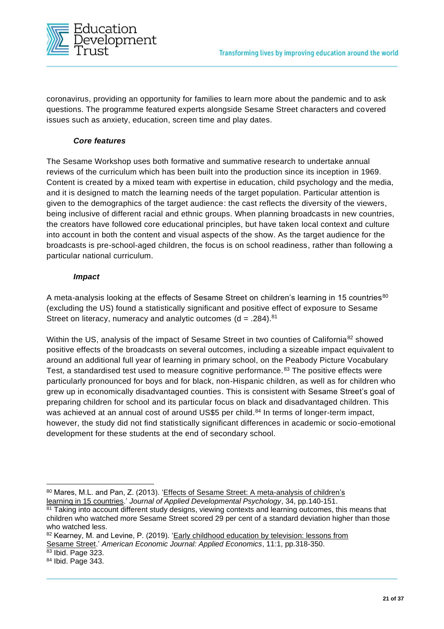

coronavirus, providing an opportunity for families to learn more about the pandemic and to ask questions. The programme featured experts alongside Sesame Street characters and covered issues such as anxiety, education, screen time and play dates.

#### *Core features*

The Sesame Workshop uses both formative and summative research to undertake annual reviews of the curriculum which has been built into the production since its inception in 1969. Content is created by a mixed team with expertise in education, child psychology and the media, and it is designed to match the learning needs of the target population. Particular attention is given to the demographics of the target audience: the cast reflects the diversity of the viewers, being inclusive of different racial and ethnic groups. When planning broadcasts in new countries, the creators have followed core educational principles, but have taken local context and culture into account in both the content and visual aspects of the show. As the target audience for the broadcasts is pre-school-aged children, the focus is on school readiness, rather than following a particular national curriculum.

#### *Impact*

A meta-analysis looking at the effects of Sesame Street on children's learning in 15 countries<sup>80</sup> (excluding the US) found a statistically significant and positive effect of exposure to Sesame Street on literacy, numeracy and analytic outcomes  $(d = .284).<sup>81</sup>$ 

Within the US, analysis of the impact of Sesame Street in two counties of California<sup>82</sup> showed positive effects of the broadcasts on several outcomes, including a sizeable impact equivalent to around an additional full year of learning in primary school, on the Peabody Picture Vocabulary Test, a standardised test used to measure cognitive performance.<sup>83</sup> The positive effects were particularly pronounced for boys and for black, non-Hispanic children, as well as for children who grew up in economically disadvantaged counties. This is consistent with Sesame Street's goal of preparing children for school and its particular focus on black and disadvantaged children. This was achieved at an annual cost of around US\$5 per child.<sup>84</sup> In terms of longer-term impact, however, the study did not find statistically significant differences in academic or socio-emotional development for these students at the end of secondary school.

 $\overline{83}$  Ibid. Page 323.

<sup>80</sup> Mares, M.L. and Pan, Z. (2013). 'Effects of Sesame Street: A meta-analysis of children's learning in 15 countries.' *Journal of Applied Developmental Psychology*, 34, pp.140-151.

<sup>&</sup>lt;sup>81</sup> Taking into account different study designs, viewing contexts and learning outcomes, this means that children who watched more Sesame Street scored 29 per cent of a standard deviation higher than those who watched less.

<sup>82</sup> Kearney, M. and Levine, P. (2019). 'Early childhood education by television: lessons from Sesame Street.' *American Economic Journal: Applied Economics*, 11:1, pp.318-350.

<sup>84</sup> Ibid. Page 343.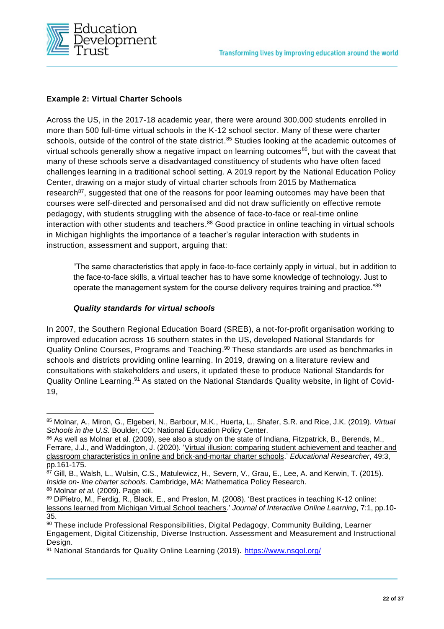

#### **Example 2: Virtual Charter Schools**

Across the US, in the 2017-18 academic year, there were around 300,000 students enrolled in more than 500 full-time virtual schools in the K-12 school sector. Many of these were charter schools, outside of the control of the state district.<sup>85</sup> Studies looking at the academic outcomes of virtual schools generally show a negative impact on learning outcomes<sup>86</sup>, but with the caveat that many of these schools serve a disadvantaged constituency of students who have often faced challenges learning in a traditional school setting. A 2019 report by the National Education Policy Center, drawing on a major study of virtual charter schools from 2015 by Mathematica research<sup>87</sup>, suggested that one of the reasons for poor learning outcomes may have been that courses were self-directed and personalised and did not draw sufficiently on effective remote pedagogy, with students struggling with the absence of face-to-face or real-time online interaction with other students and teachers.<sup>88</sup> Good practice in online teaching in virtual schools in Michigan highlights the importance of a teacher's regular interaction with students in instruction, assessment and support, arguing that:

"The same characteristics that apply in face-to-face certainly apply in virtual, but in addition to the face-to-face skills, a virtual teacher has to have some knowledge of technology. Just to operate the management system for the course delivery requires training and practice."89

#### *Quality standards for virtual schools*

In 2007, the Southern Regional Education Board (SREB), a not-for-profit organisation working to improved education across 16 southern states in the US, developed National Standards for Quality Online Courses, Programs and Teaching.<sup>90</sup> These standards are used as benchmarks in schools and districts providing online learning. In 2019, drawing on a literature review and consultations with stakeholders and users, it updated these to produce National Standards for Quality Online Learning.<sup>91</sup> As stated on the National Standards Quality website, in light of Covid-19,

<sup>85</sup> Molnar, A., Miron, G., Elgeberi, N., Barbour, M.K., Huerta, L., Shafer, S.R. and Rice, J.K. (2019). *Virtual Schools in the U.S.* Boulder, CO: National Education Policy Center.

<sup>86</sup> As well as Molnar et al. (2009), see also a study on the state of Indiana, Fitzpatrick, B., Berends, M., Ferrare, J.J., and Waddington, J. (2020). 'Virtual illusion: comparing student achievement and teacher and classroom characteristics in online and brick-and-mortar charter schools.' *Educational Researcher*, 49:3, pp.161-175.

<sup>87</sup> Gill, B., Walsh, L., Wulsin, C.S., Matulewicz, H., Severn, V., Grau, E., Lee, A. and Kerwin, T. (2015). *Inside on- line charter schools.* Cambridge, MA: Mathematica Policy Research. <sup>88</sup> Molnar *et al.* (2009). Page xiii.

<sup>89</sup> DiPietro, M., Ferdig, R., Black, E., and Preston, M. (2008). 'Best practices in teaching K-12 online: lessons learned from Michigan Virtual School teachers.' *Journal of Interactive Online Learning*, 7:1, pp.10- 35.

<sup>90</sup> These include Professional Responsibilities, Digital Pedagogy, Community Building, Learner Engagement, Digital Citizenship, Diverse Instruction. Assessment and Measurement and Instructional Design.

<sup>91</sup> National Standards for Quality Online Learning (2019).<https://www.nsqol.org/>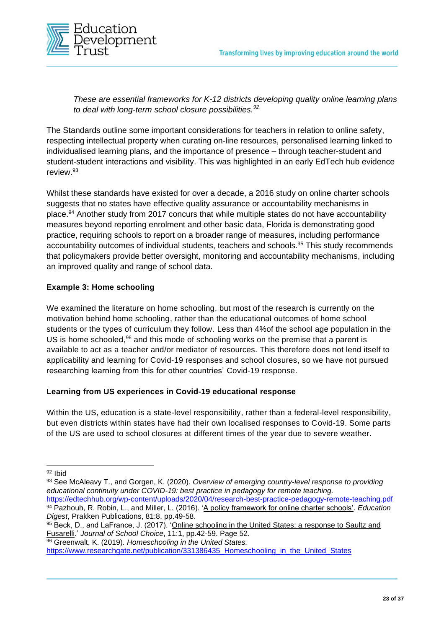

*These are essential frameworks for K-12 districts developing quality online learning plans to deal with long-term school closure possibilities.<sup>92</sup>*

The Standards outline some important considerations for teachers in relation to online safety, respecting intellectual property when curating on-line resources, personalised learning linked to individualised learning plans, and the importance of presence – through teacher-student and student-student interactions and visibility. This was highlighted in an early EdTech hub evidence review.<sup>93</sup>

Whilst these standards have existed for over a decade, a 2016 study on online charter schools suggests that no states have effective quality assurance or accountability mechanisms in place. <sup>94</sup> Another study from 2017 concurs that while multiple states do not have accountability measures beyond reporting enrolment and other basic data, Florida is demonstrating good practice, requiring schools to report on a broader range of measures, including performance accountability outcomes of individual students, teachers and schools. <sup>95</sup> This study recommends that policymakers provide better oversight, monitoring and accountability mechanisms, including an improved quality and range of school data.

#### **Example 3: Home schooling**

We examined the literature on home schooling, but most of the research is currently on the motivation behind home schooling, rather than the educational outcomes of home school students or the types of curriculum they follow. Less than 4%of the school age population in the US is home schooled, <sup>96</sup> and this mode of schooling works on the premise that a parent is available to act as a teacher and/or mediator of resources. This therefore does not lend itself to applicability and learning for Covid-19 responses and school closures, so we have not pursued researching learning from this for other countries' Covid-19 response.

#### **Learning from US experiences in Covid-19 educational response**

Within the US, education is a state-level responsibility, rather than a federal-level responsibility, but even districts within states have had their own localised responses to Covid-19. Some parts of the US are used to school closures at different times of the year due to severe weather.

- <https://edtechhub.org/wp-content/uploads/2020/04/research-best-practice-pedagogy-remote-teaching.pdf> <sup>94</sup> Pazhouh, R. Robin, L., and Miller, L. (2016). 'A policy framework for online charter schools'. *Education Digest*, Prakken Publications, 81:8, pp.49-58.
- 95 Beck, D., and LaFrance, J. (2017). 'Online schooling in the United States: a response to Saultz and Fusarelli.' *Journal of School Choice*, 11:1, pp.42-59. Page 52.

<sup>96</sup> Greenwalt, K. (2019). *Homeschooling in the United States.*

https://www.researchgate.net/publication/331386435\_Homeschooling\_in\_the\_United\_States

<sup>92</sup> Ibid

<sup>93</sup> See McAleavy T., and Gorgen, K. (2020). *Overview of emerging country-level response to providing educational continuity under COVID-19: best practice in pedagogy for remote teaching.*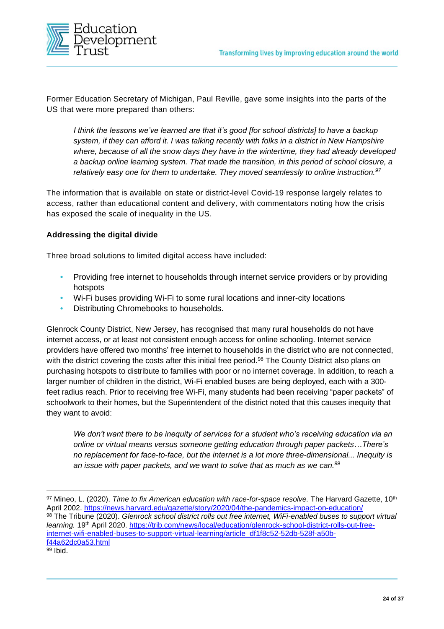

Former Education Secretary of Michigan, Paul Reville, gave some insights into the parts of the US that were more prepared than others:

*I think the lessons we've learned are that it's good [for school districts] to have a backup system, if they can afford it. I was talking recently with folks in a district in New Hampshire where, because of all the snow days they have in the wintertime, they had already developed a backup online learning system. That made the transition, in this period of school closure, a relatively easy one for them to undertake. They moved seamlessly to online instruction.<sup>97</sup>*

The information that is available on state or district-level Covid-19 response largely relates to access, rather than educational content and delivery, with commentators noting how the crisis has exposed the scale of inequality in the US.

#### **Addressing the digital divide**

Three broad solutions to limited digital access have included:

- **•** Providing free internet to households through internet service providers or by providing hotspots
- **•** Wi-Fi buses providing Wi-Fi to some rural locations and inner-city locations
- **•** Distributing Chromebooks to households.

Glenrock County District, New Jersey, has recognised that many rural households do not have internet access, or at least not consistent enough access for online schooling. Internet service providers have offered two months' free internet to households in the district who are not connected, with the district covering the costs after this initial free period.<sup>98</sup> The County District also plans on purchasing hotspots to distribute to families with poor or no internet coverage. In addition, to reach a larger number of children in the district, Wi-Fi enabled buses are being deployed, each with a 300 feet radius reach. Prior to receiving free Wi-Fi, many students had been receiving "paper packets" of schoolwork to their homes, but the Superintendent of the district noted that this causes inequity that they want to avoid:

*We don't want there to be inequity of services for a student who's receiving education via an online or virtual means versus someone getting education through paper packets…There's no replacement for face-to-face, but the internet is a lot more three-dimensional... Inequity is an issue with paper packets, and we want to solve that as much as we can.<sup>99</sup>*

<sup>98</sup> The Tribune (2020). *Glenrock school district rolls out free internet, WiFi-enabled buses to support virtual learning.* 19th April 2020. [https://trib.com/news/local/education/glenrock-school-district-rolls-out-free](https://trib.com/news/local/education/glenrock-school-district-rolls-out-free-internet-wifi-enabled-buses-to-support-virtual-learning/article_df1f8c52-52db-528f-a50b-f44a62dc0a53.html)[internet-wifi-enabled-buses-to-support-virtual-learning/article\\_df1f8c52-52db-528f-a50b](https://trib.com/news/local/education/glenrock-school-district-rolls-out-free-internet-wifi-enabled-buses-to-support-virtual-learning/article_df1f8c52-52db-528f-a50b-f44a62dc0a53.html)[f44a62dc0a53.html](https://trib.com/news/local/education/glenrock-school-district-rolls-out-free-internet-wifi-enabled-buses-to-support-virtual-learning/article_df1f8c52-52db-528f-a50b-f44a62dc0a53.html)

<sup>97</sup> Mineo, L. (2020). *Time to fix American education with race-for-space resolve.* The Harvard Gazette, 10<sup>th</sup> April 2002. <https://news.harvard.edu/gazette/story/2020/04/the-pandemics-impact-on-education/>

<sup>99</sup> Ibid.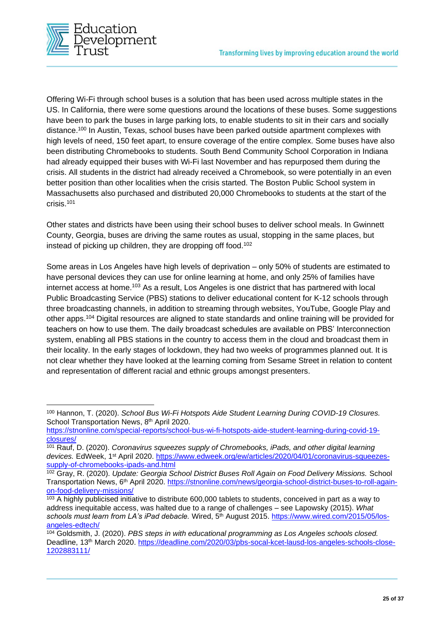

Offering Wi-Fi through school buses is a solution that has been used across multiple states in the US. In California, there were some questions around the locations of these buses. Some suggestions have been to park the buses in large parking lots, to enable students to sit in their cars and socially distance.<sup>100</sup> In Austin, Texas, school buses have been parked outside apartment complexes with high levels of need, 150 feet apart, to ensure coverage of the entire complex. Some buses have also been distributing Chromebooks to students. South Bend Community School Corporation in Indiana had already equipped their buses with Wi-Fi last November and has repurposed them during the crisis. All students in the district had already received a Chromebook, so were potentially in an even better position than other localities when the crisis started. The Boston Public School system in Massachusetts also purchased and distributed 20,000 Chromebooks to students at the start of the crisis.<sup>101</sup>

Other states and districts have been using their school buses to deliver school meals. In Gwinnett County, Georgia, buses are driving the same routes as usual, stopping in the same places, but instead of picking up children, they are dropping off food.<sup>102</sup>

Some areas in Los Angeles have high levels of deprivation – only 50% of students are estimated to have personal devices they can use for online learning at home, and only 25% of families have internet access at home.<sup>103</sup> As a result, Los Angeles is one district that has partnered with local Public Broadcasting Service (PBS) stations to deliver educational content for K-12 schools through three broadcasting channels, in addition to streaming through websites, YouTube, Google Play and other apps. <sup>104</sup> Digital resources are aligned to state standards and online training will be provided for teachers on how to use them. The daily broadcast schedules are available on PBS' Interconnection system, enabling all PBS stations in the country to access them in the cloud and broadcast them in their locality. In the early stages of lockdown, they had two weeks of programmes planned out. It is not clear whether they have looked at the learning coming from Sesame Street in relation to content and representation of different racial and ethnic groups amongst presenters.

<sup>100</sup> Hannon, T. (2020). *School Bus Wi-Fi Hotspots Aide Student Learning During COVID-19 Closures.*  School Transportation News, 8<sup>th</sup> April 2020.

[https://stnonline.com/special-reports/school-bus-wi-fi-hotspots-aide-student-learning-during-covid-19](https://stnonline.com/special-reports/school-bus-wi-fi-hotspots-aide-student-learning-during-covid-19-closures/) [closures/](https://stnonline.com/special-reports/school-bus-wi-fi-hotspots-aide-student-learning-during-covid-19-closures/)

<sup>101</sup> Rauf, D. (2020). *Coronavirus squeezes supply of Chromebooks, iPads, and other digital learning devices.* EdWeek, 1st April 2020. [https://www.edweek.org/ew/articles/2020/04/01/coronavirus-squeezes](https://www.edweek.org/ew/articles/2020/04/01/coronavirus-squeezes-supply-of-chromebooks-ipads-and.html)[supply-of-chromebooks-ipads-and.html](https://www.edweek.org/ew/articles/2020/04/01/coronavirus-squeezes-supply-of-chromebooks-ipads-and.html)

<sup>102</sup> Gray, R. (2020). *Update: Georgia School District Buses Roll Again on Food Delivery Missions.* School Transportation News, 6th April 2020. [https://stnonline.com/news/georgia-school-district-buses-to-roll-again](https://stnonline.com/news/georgia-school-district-buses-to-roll-again-on-food-delivery-missions/)[on-food-delivery-missions/](https://stnonline.com/news/georgia-school-district-buses-to-roll-again-on-food-delivery-missions/)

<sup>&</sup>lt;sup>103</sup> A highly publicised initiative to distribute 600,000 tablets to students, conceived in part as a way to address inequitable access, was halted due to a range of challenges – see Lapowsky (2015). *What*  schools must learn from LA's iPad debacle. Wired, 5<sup>th</sup> August 2015. [https://www.wired.com/2015/05/los](https://www.wired.com/2015/05/los-angeles-edtech/)[angeles-edtech/](https://www.wired.com/2015/05/los-angeles-edtech/)

<sup>104</sup> Goldsmith, J. (2020). *PBS steps in with educational programming as Los Angeles schools closed.* Deadline, 13<sup>th</sup> March 2020. [https://deadline.com/2020/03/pbs-socal-kcet-lausd-los-angeles-schools-close-](https://deadline.com/2020/03/pbs-socal-kcet-lausd-los-angeles-schools-close-1202883111/)[1202883111/](https://deadline.com/2020/03/pbs-socal-kcet-lausd-los-angeles-schools-close-1202883111/)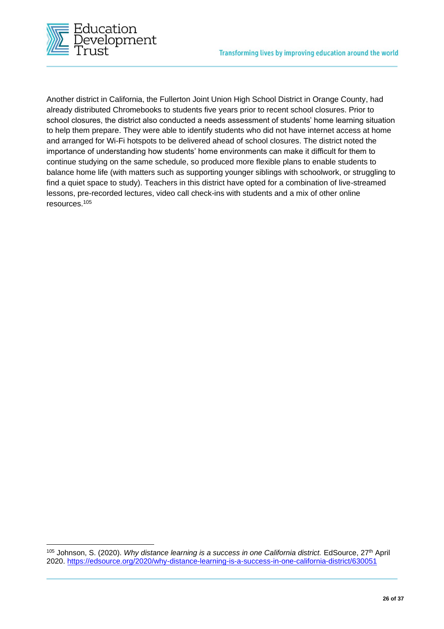

Another district in California, the Fullerton Joint Union High School District in Orange County, had already distributed Chromebooks to students five years prior to recent school closures. Prior to school closures, the district also conducted a needs assessment of students' home learning situation to help them prepare. They were able to identify students who did not have internet access at home and arranged for Wi-Fi hotspots to be delivered ahead of school closures. The district noted the importance of understanding how students' home environments can make it difficult for them to continue studying on the same schedule, so produced more flexible plans to enable students to balance home life (with matters such as supporting younger siblings with schoolwork, or struggling to find a quiet space to study). Teachers in this district have opted for a combination of live-streamed lessons, pre-recorded lectures, video call check-ins with students and a mix of other online resources.<sup>105</sup>

<sup>105</sup> Johnson, S. (2020). *Why distance learning is a success in one California district.* EdSource, 27th April 2020.<https://edsource.org/2020/why-distance-learning-is-a-success-in-one-california-district/630051>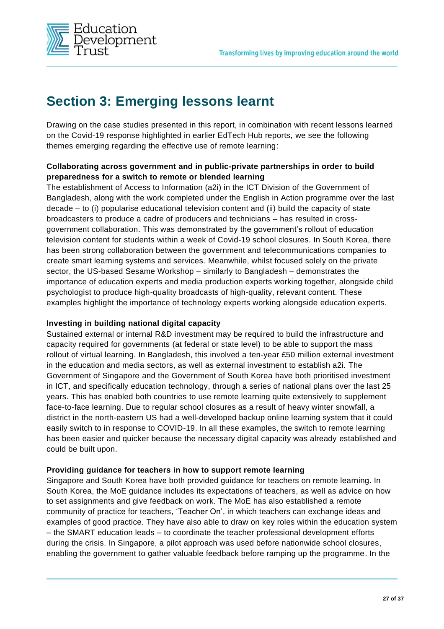

### **Section 3: Emerging lessons learnt**

Drawing on the case studies presented in this report, in combination with recent lessons learned on the Covid-19 response highlighted in earlier EdTech Hub reports, we see the following themes emerging regarding the effective use of remote learning:

#### **Collaborating across government and in public-private partnerships in order to build preparedness for a switch to remote or blended learning**

The establishment of Access to Information (a2i) in the ICT Division of the Government of Bangladesh, along with the work completed under the English in Action programme over the last decade – to (i) popularise educational television content and (ii) build the capacity of state broadcasters to produce a cadre of producers and technicians – has resulted in crossgovernment collaboration. This was demonstrated by the government's rollout of education television content for students within a week of Covid-19 school closures. In South Korea, there has been strong collaboration between the government and telecommunications companies to create smart learning systems and services. Meanwhile, whilst focused solely on the private sector, the US-based Sesame Workshop – similarly to Bangladesh – demonstrates the importance of education experts and media production experts working together, alongside child psychologist to produce high-quality broadcasts of high-quality, relevant content. These examples highlight the importance of technology experts working alongside education experts.

#### **Investing in building national digital capacity**

Sustained external or internal R&D investment may be required to build the infrastructure and capacity required for governments (at federal or state level) to be able to support the mass rollout of virtual learning. In Bangladesh, this involved a ten-year £50 million external investment in the education and media sectors, as well as external investment to establish a2i. The Government of Singapore and the Government of South Korea have both prioritised investment in ICT, and specifically education technology, through a series of national plans over the last 25 years. This has enabled both countries to use remote learning quite extensively to supplement face-to-face learning. Due to regular school closures as a result of heavy winter snowfall, a district in the north-eastern US had a well-developed backup online learning system that it could easily switch to in response to COVID-19. In all these examples, the switch to remote learning has been easier and quicker because the necessary digital capacity was already established and could be built upon.

#### **Providing guidance for teachers in how to support remote learning**

Singapore and South Korea have both provided guidance for teachers on remote learning. In South Korea, the MoE guidance includes its expectations of teachers, as well as advice on how to set assignments and give feedback on work. The MoE has also established a remote community of practice for teachers, 'Teacher On', in which teachers can exchange ideas and examples of good practice. They have also able to draw on key roles within the education system – the SMART education leads – to coordinate the teacher professional development efforts during the crisis. In Singapore, a pilot approach was used before nationwide school closures, enabling the government to gather valuable feedback before ramping up the programme. In the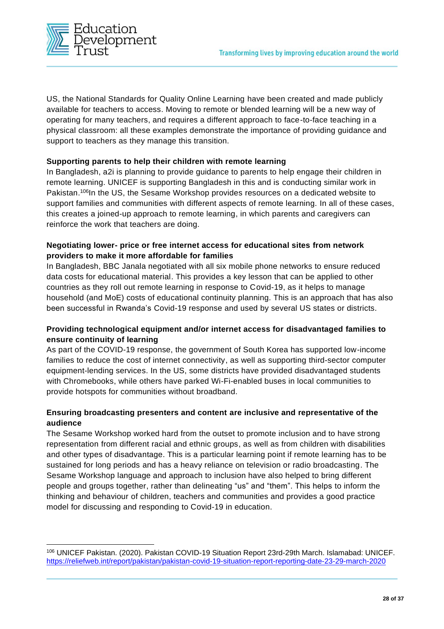

US, the National Standards for Quality Online Learning have been created and made publicly available for teachers to access. Moving to remote or blended learning will be a new way of operating for many teachers, and requires a different approach to face-to-face teaching in a physical classroom: all these examples demonstrate the importance of providing guidance and support to teachers as they manage this transition.

#### **Supporting parents to help their children with remote learning**

In Bangladesh, a2i is planning to provide guidance to parents to help engage their children in remote learning. UNICEF is supporting Bangladesh in this and is conducting similar work in Pakistan.<sup>106</sup>In the US, the Sesame Workshop provides resources on a dedicated website to support families and communities with different aspects of remote learning. In all of these cases, this creates a joined-up approach to remote learning, in which parents and caregivers can reinforce the work that teachers are doing.

#### **Negotiating lower- price or free internet access for educational sites from network providers to make it more affordable for families**

In Bangladesh, BBC Janala negotiated with all six mobile phone networks to ensure reduced data costs for educational material. This provides a key lesson that can be applied to other countries as they roll out remote learning in response to Covid-19, as it helps to manage household (and MoE) costs of educational continuity planning. This is an approach that has also been successful in Rwanda's Covid-19 response and used by several US states or districts.

#### **Providing technological equipment and/or internet access for disadvantaged families to ensure continuity of learning**

As part of the COVID-19 response, the government of South Korea has supported low-income families to reduce the cost of internet connectivity, as well as supporting third-sector computer equipment-lending services. In the US, some districts have provided disadvantaged students with Chromebooks, while others have parked Wi-Fi-enabled buses in local communities to provide hotspots for communities without broadband.

#### **Ensuring broadcasting presenters and content are inclusive and representative of the audience**

The Sesame Workshop worked hard from the outset to promote inclusion and to have strong representation from different racial and ethnic groups, as well as from children with disabilities and other types of disadvantage. This is a particular learning point if remote learning has to be sustained for long periods and has a heavy reliance on television or radio broadcasting. The Sesame Workshop language and approach to inclusion have also helped to bring different people and groups together, rather than delineating "us" and "them". This helps to inform the thinking and behaviour of children, teachers and communities and provides a good practice model for discussing and responding to Covid-19 in education.

<sup>106</sup> UNICEF Pakistan. (2020). Pakistan COVID-19 Situation Report 23rd-29th March. Islamabad: UNICEF. <https://reliefweb.int/report/pakistan/pakistan-covid-19-situation-report-reporting-date-23-29-march-2020>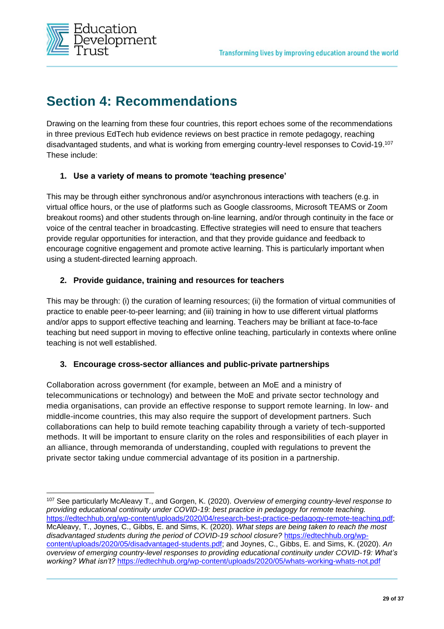

### **Section 4: Recommendations**

Drawing on the learning from these four countries, this report echoes some of the recommendations in three previous EdTech hub evidence reviews on best practice in remote pedagogy, reaching disadvantaged students, and what is working from emerging country-level responses to Covid-19.<sup>107</sup> These include:

#### **1. Use a variety of means to promote 'teaching presence'**

This may be through either synchronous and/or asynchronous interactions with teachers (e.g. in virtual office hours, or the use of platforms such as Google classrooms, Microsoft TEAMS or Zoom breakout rooms) and other students through on-line learning, and/or through continuity in the face or voice of the central teacher in broadcasting. Effective strategies will need to ensure that teachers provide regular opportunities for interaction, and that they provide guidance and feedback to encourage cognitive engagement and promote active learning. This is particularly important when using a student-directed learning approach.

#### **2. Provide guidance, training and resources for teachers**

This may be through: (i) the curation of learning resources; (ii) the formation of virtual communities of practice to enable peer-to-peer learning; and (iii) training in how to use different virtual platforms and/or apps to support effective teaching and learning. Teachers may be brilliant at face-to-face teaching but need support in moving to effective online teaching, particularly in contexts where online teaching is not well established.

#### **3. Encourage cross-sector alliances and public-private partnerships**

Collaboration across government (for example, between an MoE and a ministry of telecommunications or technology) and between the MoE and private sector technology and media organisations, can provide an effective response to support remote learning. In low- and middle-income countries, this may also require the support of development partners. Such collaborations can help to build remote teaching capability through a variety of tech-supported methods. It will be important to ensure clarity on the roles and responsibilities of each player in an alliance, through memoranda of understanding, coupled with regulations to prevent the private sector taking undue commercial advantage of its position in a partnership.

<sup>107</sup> See particularly McAleavy T., and Gorgen, K. (2020). *Overview of emerging country-level response to providing educational continuity under COVID-19: best practice in pedagogy for remote teaching.* [https://edtechhub.org/wp-content/uploads/2020/04/research-best-practice-pedagogy-remote-teaching.pdf;](https://edtechhub.org/wp-content/uploads/2020/04/research-best-practice-pedagogy-remote-teaching.pdf) McAleavy, T., Joynes, C., Gibbs, E. and Sims, K. (2020). *What steps are being taken to reach the most disadvantaged students during the period of COVID-19 school closure?* [https://edtechhub.org/wp](https://edtechhub.org/wp-content/uploads/2020/05/disadvantaged-students.pdf)[content/uploads/2020/05/disadvantaged-students.pdf;](https://edtechhub.org/wp-content/uploads/2020/05/disadvantaged-students.pdf) and Joynes, C., Gibbs, E. and Sims, K. (2020). *An overview of emerging country-level responses to providing educational continuity under COVID-19: What's working? What isn't?* <https://edtechhub.org/wp-content/uploads/2020/05/whats-working-whats-not.pdf>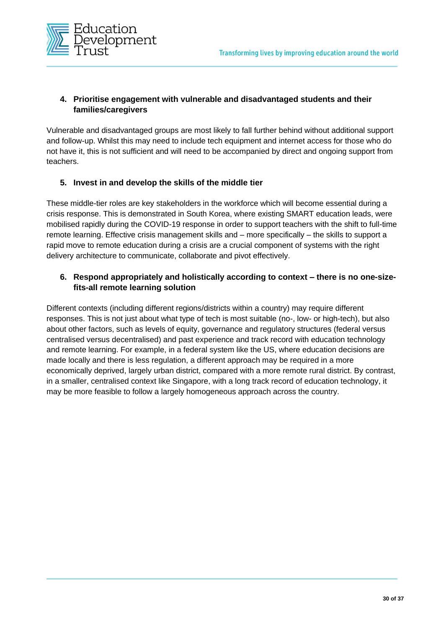

#### **4. Prioritise engagement with vulnerable and disadvantaged students and their families/caregivers**

Vulnerable and disadvantaged groups are most likely to fall further behind without additional support and follow-up. Whilst this may need to include tech equipment and internet access for those who do not have it, this is not sufficient and will need to be accompanied by direct and ongoing support from teachers.

#### **5. Invest in and develop the skills of the middle tier**

These middle-tier roles are key stakeholders in the workforce which will become essential during a crisis response. This is demonstrated in South Korea, where existing SMART education leads, were mobilised rapidly during the COVID-19 response in order to support teachers with the shift to full-time remote learning. Effective crisis management skills and – more specifically – the skills to support a rapid move to remote education during a crisis are a crucial component of systems with the right delivery architecture to communicate, collaborate and pivot effectively.

#### **6. Respond appropriately and holistically according to context – there is no one-sizefits-all remote learning solution**

Different contexts (including different regions/districts within a country) may require different responses. This is not just about what type of tech is most suitable (no-, low- or high-tech), but also about other factors, such as levels of equity, governance and regulatory structures (federal versus centralised versus decentralised) and past experience and track record with education technology and remote learning. For example, in a federal system like the US, where education decisions are made locally and there is less regulation, a different approach may be required in a more economically deprived, largely urban district, compared with a more remote rural district. By contrast, in a smaller, centralised context like Singapore, with a long track record of education technology, it may be more feasible to follow a largely homogeneous approach across the country.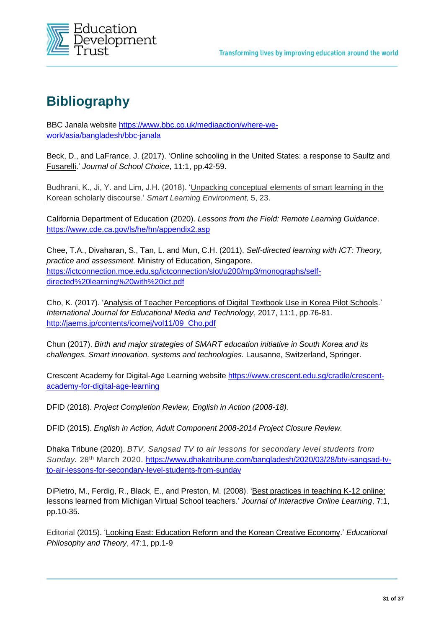

### **Bibliography**

BBC Janala website [https://www.bbc.co.uk/mediaaction/where-we](https://www.bbc.co.uk/mediaaction/where-we-work/asia/bangladesh/bbc-janala)[work/asia/bangladesh/bbc-janala](https://www.bbc.co.uk/mediaaction/where-we-work/asia/bangladesh/bbc-janala)

Beck, D., and LaFrance, J. (2017). 'Online schooling in the United States: a response to Saultz and Fusarelli.' *Journal of School Choice*, 11:1, pp.42-59.

Budhrani, K., Ji, Y. and Lim, J.H. (2018). '*Unpacking conceptual elements of smart learning in the* Korean scholarly discourse.' *Smart Learning Environment,* 5, 23.

California Department of Education (2020). *Lessons from the Field: Remote Learning Guidance*. <https://www.cde.ca.gov/ls/he/hn/appendix2.asp>

Chee, T.A., Divaharan, S., Tan, L. and Mun, C.H. (2011). *Self-directed learning with ICT: Theory, practice and assessment.* Ministry of Education, Singapore. [https://ictconnection.moe.edu.sg/ictconnection/slot/u200/mp3/monographs/self](https://ictconnection.moe.edu.sg/ictconnection/slot/u200/mp3/monographs/self-directed%20learning%20with%20ict.pdf)[directed%20learning%20with%20ict.pdf](https://ictconnection.moe.edu.sg/ictconnection/slot/u200/mp3/monographs/self-directed%20learning%20with%20ict.pdf)

Cho, K. (2017). 'Analysis of Teacher Perceptions of Digital Textbook Use in Korea Pilot Schools.' *International Journal for Educational Media and Technology*, 2017, 11:1, pp.76-81. [http://jaems.jp/contents/icomej/vol11/09\\_Cho.pdf](http://jaems.jp/contents/icomej/vol11/09_Cho.pdf)

Chun (2017). *Birth and major strategies of SMART education initiative in South Korea and its challenges. Smart innovation, systems and technologies.* Lausanne, Switzerland, Springer.

Crescent Academy for Digital-Age Learning website [https://www.crescent.edu.sg/cradle/crescent](https://www.crescent.edu.sg/cradle/crescent-academy-for-digital-age-learning)[academy-for-digital-age-learning](https://www.crescent.edu.sg/cradle/crescent-academy-for-digital-age-learning)

DFID (2018). *Project Completion Review, English in Action (2008-18).*

DFID (2015). *English in Action, Adult Component 2008-2014 Project Closure Review.*

Dhaka Tribune (2020). *BTV, Sangsad TV to air lessons for secondary level students from Sunday.* 28th March 2020. [https://www.dhakatribune.com/bangladesh/2020/03/28/btv-sangsad-tv](https://www.dhakatribune.com/bangladesh/2020/03/28/btv-sangsad-tv-to-air-lessons-for-secondary-level-students-from-sunday)[to-air-lessons-for-secondary-level-students-from-sunday](https://www.dhakatribune.com/bangladesh/2020/03/28/btv-sangsad-tv-to-air-lessons-for-secondary-level-students-from-sunday)

DiPietro, M., Ferdig, R., Black, E., and Preston, M. (2008). 'Best practices in teaching K-12 online: lessons learned from Michigan Virtual School teachers.' *Journal of Interactive Online Learning*, 7:1, pp.10-35.

Editorial (2015). 'Looking East: Education Reform and the Korean Creative Economy.' *Educational Philosophy and Theory*, 47:1, pp.1-9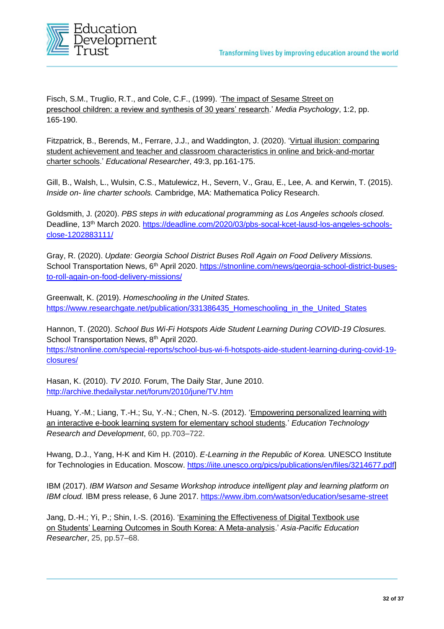

Fisch, S.M., Truglio, R.T., and Cole, C.F., (1999). 'The impact of Sesame Street on preschool children: a review and synthesis of 30 years' research.' *Media Psychology*, 1:2, pp. 165-190.

Fitzpatrick, B., Berends, M., Ferrare, J.J., and Waddington, J. (2020). 'Virtual illusion: comparing student achievement and teacher and classroom characteristics in online and brick-and-mortar charter schools.' *Educational Researcher*, 49:3, pp.161-175.

Gill, B., Walsh, L., Wulsin, C.S., Matulewicz, H., Severn, V., Grau, E., Lee, A. and Kerwin, T. (2015). *Inside on- line charter schools.* Cambridge, MA: Mathematica Policy Research.

Goldsmith, J. (2020). *PBS steps in with educational programming as Los Angeles schools closed.* Deadline, 13<sup>th</sup> March 2020. [https://deadline.com/2020/03/pbs-socal-kcet-lausd-los-angeles-schools](https://deadline.com/2020/03/pbs-socal-kcet-lausd-los-angeles-schools-close-1202883111/)[close-1202883111/](https://deadline.com/2020/03/pbs-socal-kcet-lausd-los-angeles-schools-close-1202883111/)

Gray, R. (2020). *Update: Georgia School District Buses Roll Again on Food Delivery Missions.*  School Transportation News, 6<sup>th</sup> April 2020. [https://stnonline.com/news/georgia-school-district-buses](https://stnonline.com/news/georgia-school-district-buses-to-roll-again-on-food-delivery-missions/)[to-roll-again-on-food-delivery-missions/](https://stnonline.com/news/georgia-school-district-buses-to-roll-again-on-food-delivery-missions/)

Greenwalt, K. (2019). *Homeschooling in the United States.* https://www.researchgate.net/publication/331386435\_Homeschooling\_in\_the\_United\_States

Hannon, T. (2020). *School Bus Wi-Fi Hotspots Aide Student Learning During COVID-19 Closures.*  School Transportation News, 8<sup>th</sup> April 2020.

[https://stnonline.com/special-reports/school-bus-wi-fi-hotspots-aide-student-learning-during-covid-19](https://stnonline.com/special-reports/school-bus-wi-fi-hotspots-aide-student-learning-during-covid-19-closures/) [closures/](https://stnonline.com/special-reports/school-bus-wi-fi-hotspots-aide-student-learning-during-covid-19-closures/)

Hasan, K. (2010). *TV 2010.* Forum, The Daily Star, June 2010. <http://archive.thedailystar.net/forum/2010/june/TV.htm>

Huang, Y.-M.; Liang, T.-H.; Su, Y.-N.; Chen, N.-S. (2012). 'Empowering personalized learning with an interactive e-book learning system for elementary school students*.*' *Education Technology Research and Development*, 60, pp.703–722.

Hwang, D.J., Yang, H-K and Kim H. (2010). *E-Learning in the Republic of Korea.* UNESCO Institute for Technologies in Education. Moscow. [https://iite.unesco.org/pics/publications/en/files/3214677.pdf\]](https://iite.unesco.org/pics/publications/en/files/3214677.pdf)

IBM (2017). *IBM Watson and Sesame Workshop introduce intelligent play and learning platform on IBM cloud.* IBM press release, 6 June 2017.<https://www.ibm.com/watson/education/sesame-street>

Jang, D.-H.; Yi, P.; Shin, I.-S. (2016). 'Examining the Effectiveness of Digital Textbook use on Students' Learning Outcomes in South Korea: A Meta-analysis.' *Asia-Pacific Education Researcher*, 25, pp.57–68.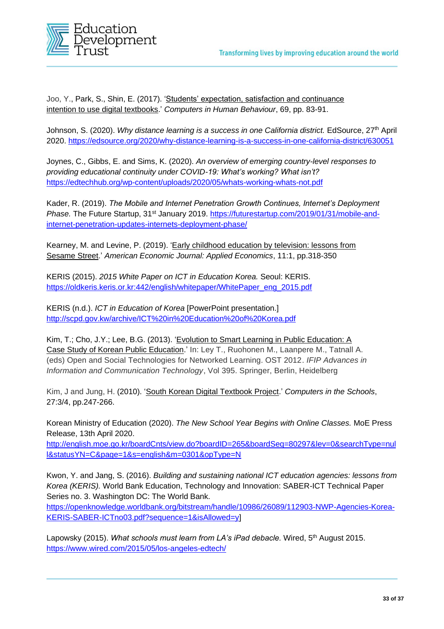

Joo, Y., Park, S., Shin, E. (2017). 'Students' expectation, satisfaction and continuance intention to use digital textbooks.' *Computers in Human Behaviour*, 69, pp. 83-91.

Johnson, S. (2020). *Why distance learning is a success in one California district.* EdSource, 27th April 2020.<https://edsource.org/2020/why-distance-learning-is-a-success-in-one-california-district/630051>

Joynes, C., Gibbs, E. and Sims, K. (2020). *An overview of emerging country-level responses to providing educational continuity under COVID-19: What's working? What isn't?* <https://edtechhub.org/wp-content/uploads/2020/05/whats-working-whats-not.pdf>

Kader, R. (2019). *The Mobile and Internet Penetration Growth Continues, Internet's Deployment Phase.* The Future Startup, 31st January 2019. [https://futurestartup.com/2019/01/31/mobile-and](https://futurestartup.com/2019/01/31/mobile-and-internet-penetration-updates-internets-deployment-phase/)[internet-penetration-updates-internets-deployment-phase/](https://futurestartup.com/2019/01/31/mobile-and-internet-penetration-updates-internets-deployment-phase/)

Kearney, M. and Levine, P. (2019). 'Early childhood education by television: lessons from Sesame Street.' *American Economic Journal: Applied Economics*, 11:1, pp.318-350

KERIS (2015). *2015 White Paper on ICT in Education Korea.* Seoul: KERIS. [https://oldkeris.keris.or.kr:442/english/whitepaper/WhitePaper\\_eng\\_2015.pdf](https://oldkeris.keris.or.kr:442/english/whitepaper/WhitePaper_eng_2015.pdf)

KERIS (n.d.). *ICT in Education of Korea* [PowerPoint presentation.] <http://scpd.gov.kw/archive/ICT%20in%20Education%20of%20Korea.pdf>

Kim, T.; Cho, J.Y.; Lee, B.G. (2013). 'Evolution to Smart Learning in Public Education: A Case Study of Korean Public Education.' In: Ley T., Ruohonen M., Laanpere M., Tatnall A. (eds) Open and Social Technologies for Networked Learning. OST 2012. *IFIP Advances in Information and Communication Technology*, Vol 395. Springer, Berlin, Heidelberg

Kim, J and Jung, H. (2010). 'South Korean Digital Textbook Project.' *Computers in the Schools*, 27:3/4, pp.247-266.

Korean Ministry of Education (2020). *The New School Year Begins with Online Classes.* MoE Press Release, 13th April 2020.

[http://english.moe.go.kr/boardCnts/view.do?boardID=265&boardSeq=80297&lev=0&searchType=nul](http://english.moe.go.kr/boardCnts/view.do?boardID=265&boardSeq=80297&lev=0&searchType=null&statusYN=C&page=1&s=english&m=0301&opType=N) [l&statusYN=C&page=1&s=english&m=0301&opType=N](http://english.moe.go.kr/boardCnts/view.do?boardID=265&boardSeq=80297&lev=0&searchType=null&statusYN=C&page=1&s=english&m=0301&opType=N)

Kwon, Y. and Jang, S. (2016). *Building and sustaining national ICT education agencies: lessons from Korea (KERIS).* World Bank Education, Technology and Innovation: SABER-ICT Technical Paper Series no. 3. Washington DC: The World Bank.

[https://openknowledge.worldbank.org/bitstream/handle/10986/26089/112903-NWP-Agencies-Korea-](https://openknowledge.worldbank.org/bitstream/handle/10986/26089/112903-NWP-Agencies-Korea-KERIS-SABER-ICTno03.pdf?sequence=1&isAllowed=y)[KERIS-SABER-ICTno03.pdf?sequence=1&isAllowed=y\]](https://openknowledge.worldbank.org/bitstream/handle/10986/26089/112903-NWP-Agencies-Korea-KERIS-SABER-ICTno03.pdf?sequence=1&isAllowed=y)

Lapowsky (2015). What schools must learn from LA's iPad debacle. Wired, 5<sup>th</sup> August 2015. <https://www.wired.com/2015/05/los-angeles-edtech/>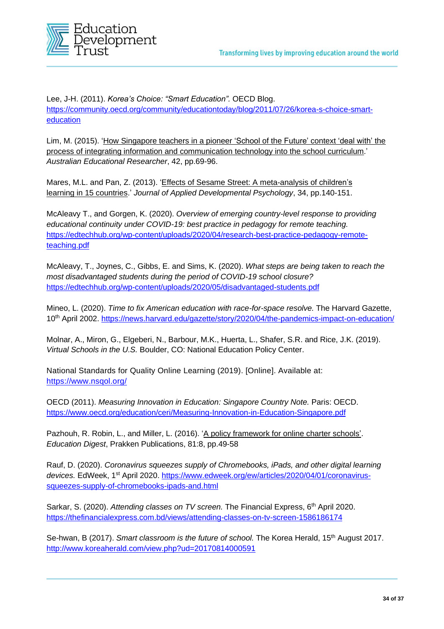

Lee, J-H. (2011). *Korea's Choice: "Smart Education".* OECD Blog. [https://community.oecd.org/community/educationtoday/blog/2011/07/26/korea-s-choice-smart](https://community.oecd.org/community/educationtoday/blog/2011/07/26/korea-s-choice-smart-education)[education](https://community.oecd.org/community/educationtoday/blog/2011/07/26/korea-s-choice-smart-education)

Lim, M. (2015). 'How Singapore teachers in a pioneer 'School of the Future' context 'deal with' the process of integrating information and communication technology into the school curriculum.' *Australian Educational Researcher*, 42, pp.69-96.

Mares, M.L. and Pan, Z. (2013). '*Effects of Sesame Street: A meta-analysis of children's* learning in 15 countries.' *Journal of Applied Developmental Psychology*, 34, pp.140-151.

McAleavy T., and Gorgen, K. (2020). *Overview of emerging country-level response to providing educational continuity under COVID-19: best practice in pedagogy for remote teaching.* [https://edtechhub.org/wp-content/uploads/2020/04/research-best-practice-pedagogy-remote](https://edtechhub.org/wp-content/uploads/2020/04/research-best-practice-pedagogy-remote-teaching.pdf)[teaching.pdf](https://edtechhub.org/wp-content/uploads/2020/04/research-best-practice-pedagogy-remote-teaching.pdf)

McAleavy, T., Joynes, C., Gibbs, E. and Sims, K. (2020). *What steps are being taken to reach the most disadvantaged students during the period of COVID-19 school closure?* <https://edtechhub.org/wp-content/uploads/2020/05/disadvantaged-students.pdf>

Mineo, L. (2020). *Time to fix American education with race-for-space resolve.* The Harvard Gazette, 10th April 2002. <https://news.harvard.edu/gazette/story/2020/04/the-pandemics-impact-on-education/>

Molnar, A., Miron, G., Elgeberi, N., Barbour, M.K., Huerta, L., Shafer, S.R. and Rice, J.K. (2019). *Virtual Schools in the U.S.* Boulder, CO: National Education Policy Center.

National Standards for Quality Online Learning (2019). [Online]. Available at: <https://www.nsqol.org/>

OECD (2011). *Measuring Innovation in Education: Singapore Country Note.* Paris: OECD. <https://www.oecd.org/education/ceri/Measuring-Innovation-in-Education-Singapore.pdf>

Pazhouh, R. Robin, L., and Miller, L. (2016). 'A policy framework for online charter schools'. *Education Digest*, Prakken Publications, 81:8, pp.49-58

Rauf, D. (2020). *Coronavirus squeezes supply of Chromebooks, iPads, and other digital learning devices.* EdWeek, 1st April 2020. [https://www.edweek.org/ew/articles/2020/04/01/coronavirus](https://www.edweek.org/ew/articles/2020/04/01/coronavirus-squeezes-supply-of-chromebooks-ipads-and.html)[squeezes-supply-of-chromebooks-ipads-and.html](https://www.edweek.org/ew/articles/2020/04/01/coronavirus-squeezes-supply-of-chromebooks-ipads-and.html)

Sarkar, S. (2020). *Attending classes on TV screen.* The Financial Express, 6th April 2020. <https://thefinancialexpress.com.bd/views/attending-classes-on-tv-screen-1586186174>

Se-hwan, B (2017). *Smart classroom is the future of school.* The Korea Herald, 15th August 2017. <http://www.koreaherald.com/view.php?ud=20170814000591>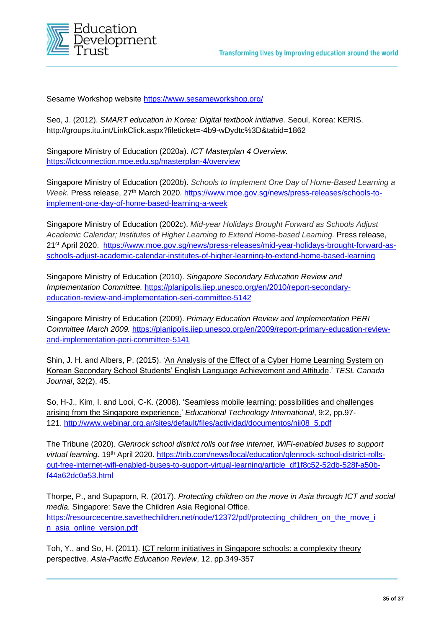

Sesame Workshop website<https://www.sesameworkshop.org/>

Seo, J. (2012). *SMART education in Korea: Digital textbook initiative.* Seoul, Korea: KERIS. <http://groups.itu.int/LinkClick.aspx?fileticket=-4b9-wDydtc%3D&tabid=1862>

Singapore Ministry of Education (2020*a*). *ICT Masterplan 4 Overview.* <https://ictconnection.moe.edu.sg/masterplan-4/overview>

Singapore Ministry of Education (2020*b*). *Schools to Implement One Day of Home-Based Learning a Week.* Press release, 27th March 2020. [https://www.moe.gov.sg/news/press-releases/schools-to](https://www.moe.gov.sg/news/press-releases/schools-to-implement-one-day-of-home-based-learning-a-week)[implement-one-day-of-home-based-learning-a-week](https://www.moe.gov.sg/news/press-releases/schools-to-implement-one-day-of-home-based-learning-a-week) 

Singapore Ministry of Education (2002*c*). *Mid-year Holidays Brought Forward as Schools Adjust Academic Calendar; Institutes of Higher Learning to Extend Home-based Learning.* Press release, 21st April 2020. [https://www.moe.gov.sg/news/press-releases/mid-year-holidays-brought-forward-as](https://www.moe.gov.sg/news/press-releases/mid-year-holidays-brought-forward-as-schools-adjust-academic-calendar-institutes-of-higher-learning-to-extend-home-based-learning)[schools-adjust-academic-calendar-institutes-of-higher-learning-to-extend-home-based-learning](https://www.moe.gov.sg/news/press-releases/mid-year-holidays-brought-forward-as-schools-adjust-academic-calendar-institutes-of-higher-learning-to-extend-home-based-learning)

Singapore Ministry of Education (2010). *Singapore Secondary Education Review and Implementation Committee.* [https://planipolis.iiep.unesco.org/en/2010/report-secondary](https://planipolis.iiep.unesco.org/en/2010/report-secondary-education-review-and-implementation-seri-committee-5142)[education-review-and-implementation-seri-committee-5142](https://planipolis.iiep.unesco.org/en/2010/report-secondary-education-review-and-implementation-seri-committee-5142)

Singapore Ministry of Education (2009). *Primary Education Review and Implementation PERI Committee March 2009.* [https://planipolis.iiep.unesco.org/en/2009/report-primary-education-review](https://planipolis.iiep.unesco.org/en/2009/report-primary-education-review-and-implementation-peri-committee-5141)[and-implementation-peri-committee-5141](https://planipolis.iiep.unesco.org/en/2009/report-primary-education-review-and-implementation-peri-committee-5141)

Shin, J. H. and Albers, P. (2015). 'An Analysis of the Effect of a Cyber Home Learning System on Korean Secondary School Students' English Language Achievement and Attitude.' *TESL Canada Journal*, 32(2), 45.

So, H-J., Kim, I. and Looi, C-K. (2008). 'Seamless mobile learning: possibilities and challenges arising from the Singapore experience.' *Educational Technology International*, 9:2, pp.97- 121. [http://www.webinar.org.ar/sites/default/files/actividad/documentos/nij08\\_5.pdf](http://www.webinar.org.ar/sites/default/files/actividad/documentos/nij08_5.pdf)

The Tribune (2020). *Glenrock school district rolls out free internet, WiFi-enabled buses to support virtual learning.* 19th April 2020. [https://trib.com/news/local/education/glenrock-school-district-rolls](https://trib.com/news/local/education/glenrock-school-district-rolls-out-free-internet-wifi-enabled-buses-to-support-virtual-learning/article_df1f8c52-52db-528f-a50b-f44a62dc0a53.html)[out-free-internet-wifi-enabled-buses-to-support-virtual-learning/article\\_df1f8c52-52db-528f-a50b](https://trib.com/news/local/education/glenrock-school-district-rolls-out-free-internet-wifi-enabled-buses-to-support-virtual-learning/article_df1f8c52-52db-528f-a50b-f44a62dc0a53.html)[f44a62dc0a53.html](https://trib.com/news/local/education/glenrock-school-district-rolls-out-free-internet-wifi-enabled-buses-to-support-virtual-learning/article_df1f8c52-52db-528f-a50b-f44a62dc0a53.html)

Thorpe, P., and Supaporn, R. (2017). *Protecting children on the move in Asia through ICT and social media.* Singapore: Save the Children Asia Regional Office. [https://resourcecentre.savethechildren.net/node/12372/pdf/protecting\\_children\\_on\\_the\\_move\\_i](https://resourcecentre.savethechildren.net/node/12372/pdf/protecting_children_on_the_move_i%20n_asia_online_version.pdf)  [n\\_asia\\_online\\_version.pdf](https://resourcecentre.savethechildren.net/node/12372/pdf/protecting_children_on_the_move_i%20n_asia_online_version.pdf)

Toh, Y., and So, H. (2011). ICT reform initiatives in Singapore schools: a complexity theory perspective. *Asia-Pacific Education Review*, 12, pp.349-357